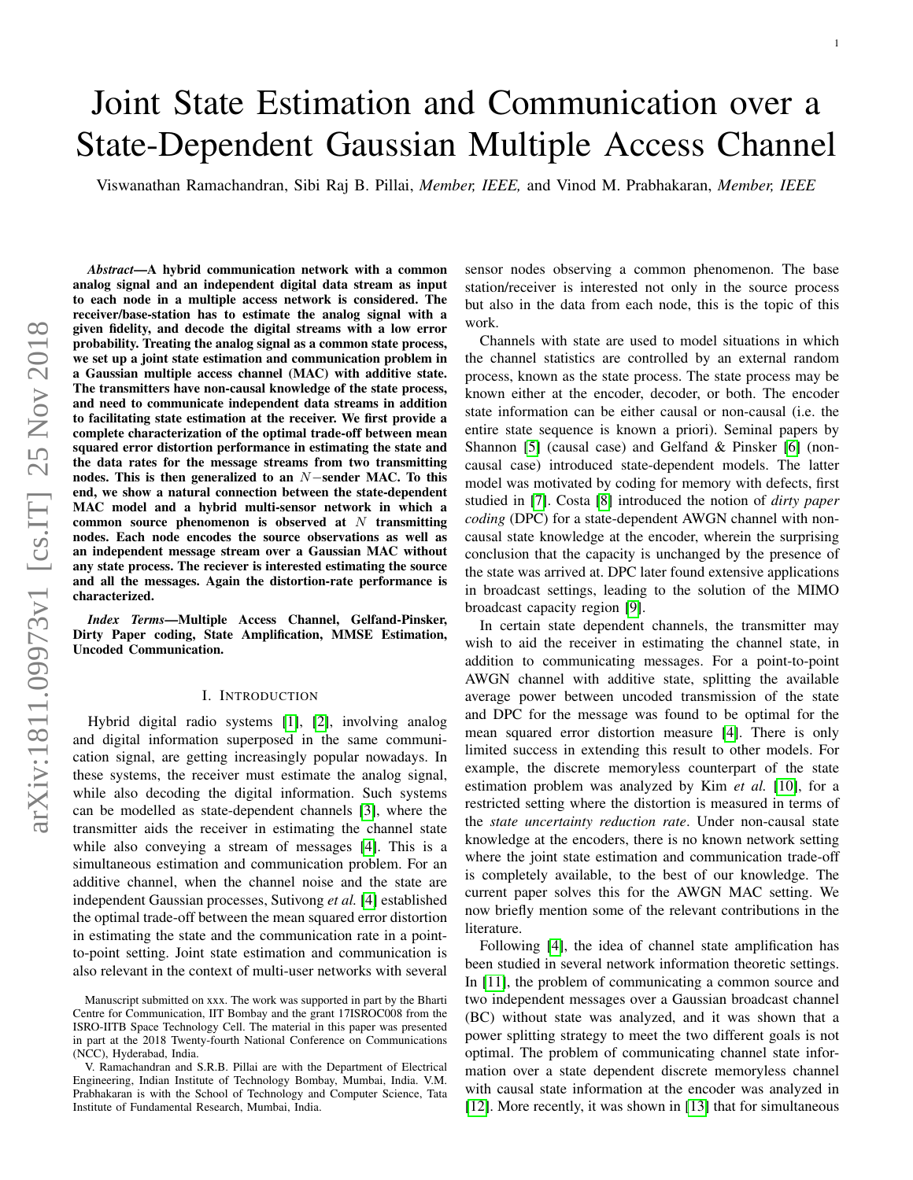# Joint State Estimation and Communication over a State-Dependent Gaussian Multiple Access Channel

Viswanathan Ramachandran, Sibi Raj B. Pillai, *Member, IEEE,* and Vinod M. Prabhakaran, *Member, IEEE*

*Abstract*—A hybrid communication network with a common analog signal and an independent digital data stream as input to each node in a multiple access network is considered. The receiver/base-station has to estimate the analog signal with a given fidelity, and decode the digital streams with a low error probability. Treating the analog signal as a common state process, we set up a joint state estimation and communication problem in a Gaussian multiple access channel (MAC) with additive state. The transmitters have non-causal knowledge of the state process, and need to communicate independent data streams in addition to facilitating state estimation at the receiver. We first provide a complete characterization of the optimal trade-off between mean squared error distortion performance in estimating the state and the data rates for the message streams from two transmitting nodes. This is then generalized to an N−sender MAC. To this end, we show a natural connection between the state-dependent MAC model and a hybrid multi-sensor network in which a common source phenomenon is observed at  $N$  transmitting nodes. Each node encodes the source observations as well as an independent message stream over a Gaussian MAC without any state process. The reciever is interested estimating the source and all the messages. Again the distortion-rate performance is characterized.

*Index Terms*—Multiple Access Channel, Gelfand-Pinsker, Dirty Paper coding, State Amplification, MMSE Estimation, Uncoded Communication.

# I. INTRODUCTION

Hybrid digital radio systems [\[1\]](#page-10-0), [\[2\]](#page-10-1), involving analog and digital information superposed in the same communication signal, are getting increasingly popular nowadays. In these systems, the receiver must estimate the analog signal, while also decoding the digital information. Such systems can be modelled as state-dependent channels [\[3\]](#page-10-2), where the transmitter aids the receiver in estimating the channel state while also conveying a stream of messages [\[4\]](#page-10-3). This is a simultaneous estimation and communication problem. For an additive channel, when the channel noise and the state are independent Gaussian processes, Sutivong *et al.* [\[4\]](#page-10-3) established the optimal trade-off between the mean squared error distortion in estimating the state and the communication rate in a pointto-point setting. Joint state estimation and communication is also relevant in the context of multi-user networks with several sensor nodes observing a common phenomenon. The base station/receiver is interested not only in the source process but also in the data from each node, this is the topic of this work.

1

Channels with state are used to model situations in which the channel statistics are controlled by an external random process, known as the state process. The state process may be known either at the encoder, decoder, or both. The encoder state information can be either causal or non-causal (i.e. the entire state sequence is known a priori). Seminal papers by Shannon [\[5\]](#page-10-4) (causal case) and Gelfand & Pinsker [\[6\]](#page-10-5) (noncausal case) introduced state-dependent models. The latter model was motivated by coding for memory with defects, first studied in [\[7\]](#page-10-6). Costa [\[8\]](#page-11-0) introduced the notion of *dirty paper coding* (DPC) for a state-dependent AWGN channel with noncausal state knowledge at the encoder, wherein the surprising conclusion that the capacity is unchanged by the presence of the state was arrived at. DPC later found extensive applications in broadcast settings, leading to the solution of the MIMO broadcast capacity region [\[9\]](#page-11-1).

In certain state dependent channels, the transmitter may wish to aid the receiver in estimating the channel state, in addition to communicating messages. For a point-to-point AWGN channel with additive state, splitting the available average power between uncoded transmission of the state and DPC for the message was found to be optimal for the mean squared error distortion measure [\[4\]](#page-10-3). There is only limited success in extending this result to other models. For example, the discrete memoryless counterpart of the state estimation problem was analyzed by Kim *et al.* [\[10\]](#page-11-2), for a restricted setting where the distortion is measured in terms of the *state uncertainty reduction rate*. Under non-causal state knowledge at the encoders, there is no known network setting where the joint state estimation and communication trade-off is completely available, to the best of our knowledge. The current paper solves this for the AWGN MAC setting. We now briefly mention some of the relevant contributions in the literature.

Following [\[4\]](#page-10-3), the idea of channel state amplification has been studied in several network information theoretic settings. In [\[11\]](#page-11-3), the problem of communicating a common source and two independent messages over a Gaussian broadcast channel (BC) without state was analyzed, and it was shown that a power splitting strategy to meet the two different goals is not optimal. The problem of communicating channel state information over a state dependent discrete memoryless channel with causal state information at the encoder was analyzed in [\[12\]](#page-11-4). More recently, it was shown in [\[13\]](#page-11-5) that for simultaneous

Manuscript submitted on xxx. The work was supported in part by the Bharti Centre for Communication, IIT Bombay and the grant 17ISROC008 from the ISRO-IITB Space Technology Cell. The material in this paper was presented in part at the 2018 Twenty-fourth National Conference on Communications (NCC), Hyderabad, India.

V. Ramachandran and S.R.B. Pillai are with the Department of Electrical Engineering, Indian Institute of Technology Bombay, Mumbai, India. V.M. Prabhakaran is with the School of Technology and Computer Science, Tata Institute of Fundamental Research, Mumbai, India.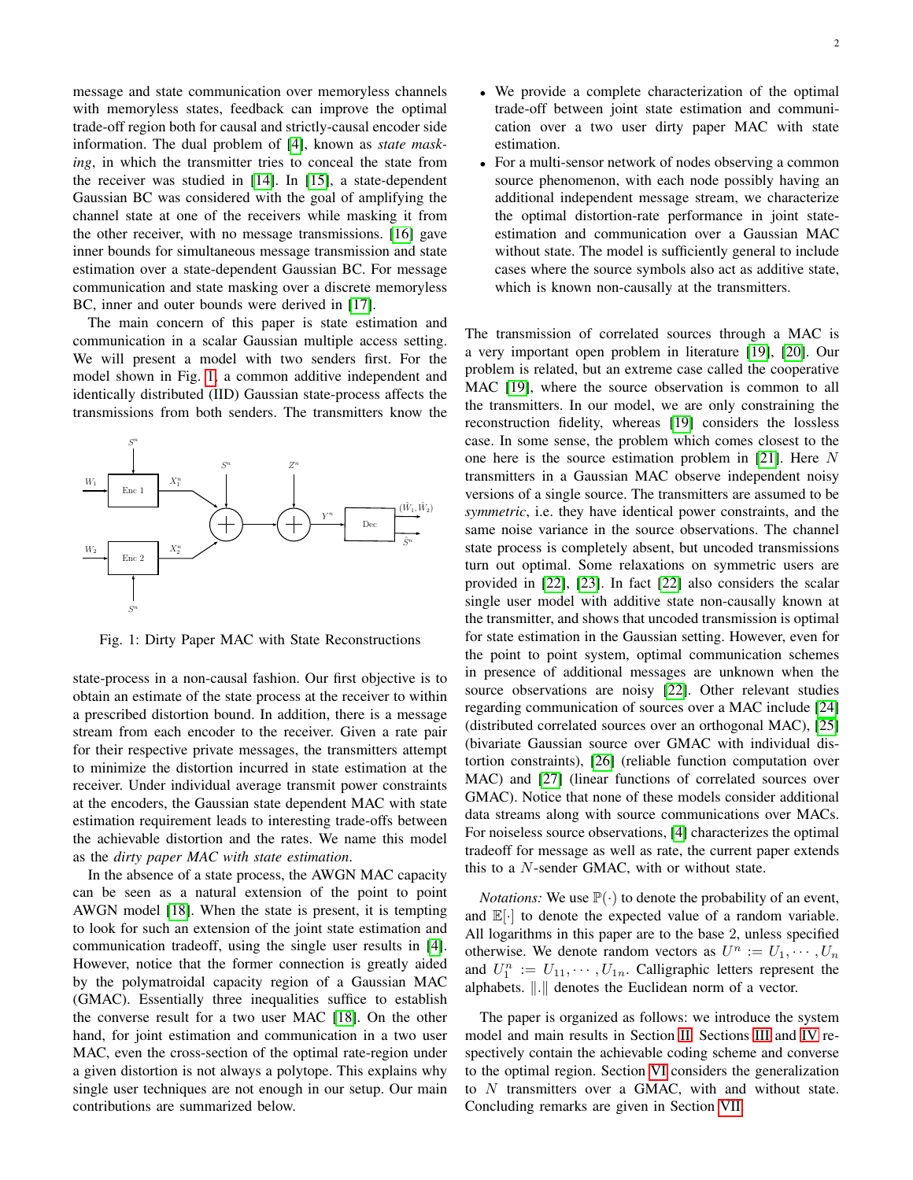message and state communication over memoryless channels with memoryless states, feedback can improve the optimal trade-off region both for causal and strictly-causal encoder side information. The dual problem of [\[4\]](#page-10-3), known as *state masking*, in which the transmitter tries to conceal the state from the receiver was studied in [\[14\]](#page-11-6). In [\[15\]](#page-11-7), a state-dependent Gaussian BC was considered with the goal of amplifying the channel state at one of the receivers while masking it from the other receiver, with no message transmissions. [\[16\]](#page-11-8) gave inner bounds for simultaneous message transmission and state estimation over a state-dependent Gaussian BC. For message communication and state masking over a discrete memoryless BC, inner and outer bounds were derived in [\[17\]](#page-11-9).

The main concern of this paper is state estimation and communication in a scalar Gaussian multiple access setting. We will present a model with two senders first. For the model shown in Fig. [1,](#page-1-0) a common additive independent and identically distributed (IID) Gaussian state-process affects the transmissions from both senders. The transmitters know the

<span id="page-1-0"></span>

Fig. 1: Dirty Paper MAC with State Reconstructions

state-process in a non-causal fashion. Our first objective is to obtain an estimate of the state process at the receiver to within a prescribed distortion bound. In addition, there is a message stream from each encoder to the receiver. Given a rate pair for their respective private messages, the transmitters attempt to minimize the distortion incurred in state estimation at the receiver. Under individual average transmit power constraints at the encoders, the Gaussian state dependent MAC with state estimation requirement leads to interesting trade-offs between the achievable distortion and the rates. We name this model as the *dirty paper MAC with state estimation*.

In the absence of a state process, the AWGN MAC capacity can be seen as a natural extension of the point to point AWGN model [\[18\]](#page-11-10). When the state is present, it is tempting to look for such an extension of the joint state estimation and communication tradeoff, using the single user results in [\[4\]](#page-10-3). However, notice that the former connection is greatly aided by the polymatroidal capacity region of a Gaussian MAC (GMAC). Essentially three inequalities suffice to establish the converse result for a two user MAC [\[18\]](#page-11-10). On the other hand, for joint estimation and communication in a two user MAC, even the cross-section of the optimal rate-region under a given distortion is not always a polytope. This explains why single user techniques are not enough in our setup. Our main contributions are summarized below.

- We provide a complete characterization of the optimal trade-off between joint state estimation and communication over a two user dirty paper MAC with state estimation.
- For a multi-sensor network of nodes observing a common source phenomenon, with each node possibly having an additional independent message stream, we characterize the optimal distortion-rate performance in joint stateestimation and communication over a Gaussian MAC without state. The model is sufficiently general to include cases where the source symbols also act as additive state, which is known non-causally at the transmitters.

The transmission of correlated sources through a MAC is a very important open problem in literature [\[19\]](#page-11-11), [\[20\]](#page-11-12). Our problem is related, but an extreme case called the cooperative MAC [\[19\]](#page-11-11), where the source observation is common to all the transmitters. In our model, we are only constraining the reconstruction fidelity, whereas [\[19\]](#page-11-11) considers the lossless case. In some sense, the problem which comes closest to the one here is the source estimation problem in [\[21\]](#page-11-13). Here N transmitters in a Gaussian MAC observe independent noisy versions of a single source. The transmitters are assumed to be *symmetric*, i.e. they have identical power constraints, and the same noise variance in the source observations. The channel state process is completely absent, but uncoded transmissions turn out optimal. Some relaxations on symmetric users are provided in [\[22\]](#page-11-14), [\[23\]](#page-11-15). In fact [\[22\]](#page-11-14) also considers the scalar single user model with additive state non-causally known at the transmitter, and shows that uncoded transmission is optimal for state estimation in the Gaussian setting. However, even for the point to point system, optimal communication schemes in presence of additional messages are unknown when the source observations are noisy [\[22\]](#page-11-14). Other relevant studies regarding communication of sources over a MAC include [\[24\]](#page-11-16) (distributed correlated sources over an orthogonal MAC), [\[25\]](#page-11-17) (bivariate Gaussian source over GMAC with individual distortion constraints), [\[26\]](#page-11-18) (reliable function computation over MAC) and [\[27\]](#page-11-19) (linear functions of correlated sources over GMAC). Notice that none of these models consider additional data streams along with source communications over MACs. For noiseless source observations, [\[4\]](#page-10-3) characterizes the optimal tradeoff for message as well as rate, the current paper extends this to a N-sender GMAC, with or without state.

*Notations:* We use  $\mathbb{P}(\cdot)$  to denote the probability of an event, and  $\mathbb{E}[\cdot]$  to denote the expected value of a random variable. All logarithms in this paper are to the base 2, unless specified otherwise. We denote random vectors as  $U^n := U_1, \cdots, U_n$ and  $U_1^n := U_{11}, \cdots, U_{1n}$ . Calligraphic letters represent the alphabets.  $\Vert . \Vert$  denotes the Euclidean norm of a vector.

The paper is organized as follows: we introduce the system model and main results in Section [II.](#page-2-0) Sections [III](#page-3-0) and [IV](#page-4-0) respectively contain the achievable coding scheme and converse to the optimal region. Section [VI](#page-6-0) considers the generalization to N transmitters over a GMAC, with and without state. Concluding remarks are given in Section [VII.](#page-8-0)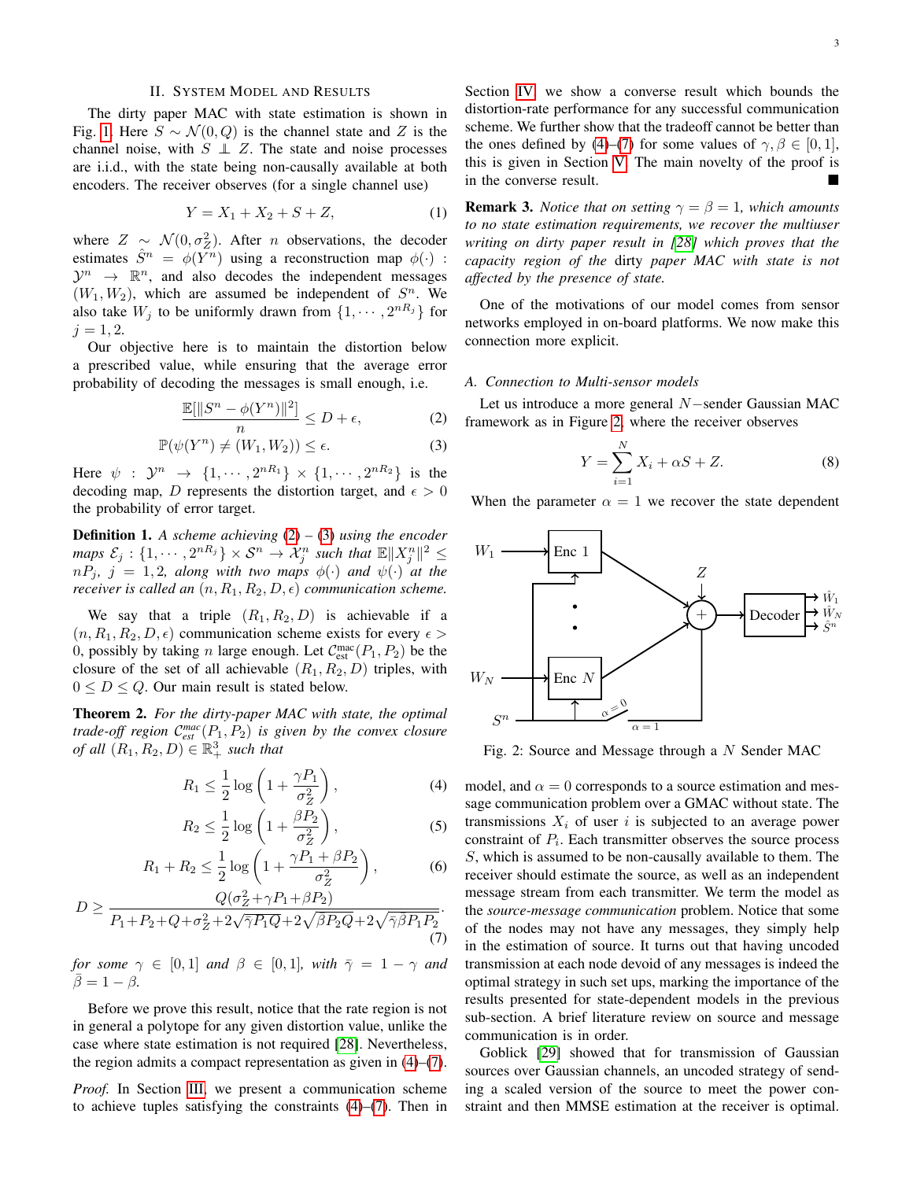## II. SYSTEM MODEL AND RESULTS

<span id="page-2-0"></span>The dirty paper MAC with state estimation is shown in Fig. [1.](#page-1-0) Here  $S \sim \mathcal{N}(0, Q)$  is the channel state and Z is the channel noise, with  $S \perp Z$ . The state and noise processes are i.i.d., with the state being non-causally available at both encoders. The receiver observes (for a single channel use)

<span id="page-2-7"></span>
$$
Y = X_1 + X_2 + S + Z,\t(1)
$$

where  $Z \sim \mathcal{N}(0, \sigma_Z^2)$ . After *n* observations, the decoder estimates  $\hat{S}^n = \phi(Y^n)$  using a reconstruction map  $\phi(\cdot)$ :  $\mathcal{Y}^n \rightarrow \mathbb{R}^n$ , and also decodes the independent messages  $(W_1, W_2)$ , which are assumed be independent of  $S^n$ . We also take  $W_j$  to be uniformly drawn from  $\{1, \dots, 2^{nR_j}\}\$  for  $i = 1, 2.$ 

Our objective here is to maintain the distortion below a prescribed value, while ensuring that the average error probability of decoding the messages is small enough, i.e.

$$
\frac{\mathbb{E}[\|S^n - \phi(Y^n)\|^2]}{n} \le D + \epsilon,\tag{2}
$$

$$
\mathbb{P}(\psi(Y^n) \neq (W_1, W_2)) \leq \epsilon. \tag{3}
$$

Here  $\psi$  :  $\mathcal{Y}^n \rightarrow \{1, \cdots, 2^{nR_1}\} \times \{1, \cdots, 2^{nR_2}\}$  is the decoding map, D represents the distortion target, and  $\epsilon > 0$ the probability of error target.

Definition 1. *A scheme achieving* [\(2\)](#page-2-1) *–* [\(3\)](#page-2-2) *using the encoder* maps  $\mathcal{E}_j$  :  $\{1, \cdots, 2^{nR_j}\} \times \mathcal{S}^n \to \mathcal{X}_j^n$  such that  $\mathbb{E} \Vert X_j^n \Vert^2 \leq$  $nP_j$ ,  $j = 1, 2$ , along with two maps  $\phi(\cdot)$  and  $\psi(\cdot)$  at the *receiver is called an*  $(n, R_1, R_2, D, \epsilon)$  *communication scheme.* 

We say that a triple  $(R_1, R_2, D)$  is achievable if a  $(n, R_1, R_2, D, \epsilon)$  communication scheme exists for every  $\epsilon$ 0, possibly by taking *n* large enough. Let  $C_{est}^{mac}(P_1, P_2)$  be the closure of the set of all achievable  $(R_1, R_2, D)$  triples, with  $0 \leq D \leq Q$ . Our main result is stated below.

<span id="page-2-8"></span>Theorem 2. *For the dirty-paper MAC with state, the optimal trade-off region* C *mac est* (P1, P2) *is given by the convex closure of all*  $(R_1, R_2, D) \in \mathbb{R}^3_+$  *such that* 

$$
R_1 \le \frac{1}{2} \log \left( 1 + \frac{\gamma P_1}{\sigma_Z^2} \right),\tag{4}
$$

$$
R_2 \le \frac{1}{2} \log \left( 1 + \frac{\beta P_2}{\sigma_Z^2} \right),\tag{5}
$$

$$
R_1 + R_2 \le \frac{1}{2} \log \left( 1 + \frac{\gamma P_1 + \beta P_2}{\sigma_Z^2} \right),\tag{6}
$$

$$
O(\sigma^2 + \gamma P_1 + \beta P_2)
$$

$$
D \ge \frac{Q(\sigma_Z^2 + \gamma P_1 + \beta P_2)}{P_1 + P_2 + Q + \sigma_Z^2 + 2\sqrt{\overline{\gamma} P_1 Q} + 2\sqrt{\overline{\beta} P_2 Q} + 2\sqrt{\overline{\gamma} \overline{\beta} P_1 P_2}}.
$$
\n(7)

*for some*  $\gamma \in [0,1]$  *and*  $\beta \in [0,1]$ *, with*  $\overline{\gamma} = 1 - \gamma$  *and*  $\bar{\beta}=1-\beta$ .

Before we prove this result, notice that the rate region is not in general a polytope for any given distortion value, unlike the case where state estimation is not required [\[28\]](#page-11-20). Nevertheless, the region admits a compact representation as given in [\(4\)](#page-2-3)–[\(7\)](#page-2-4).

*Proof.* In Section [III,](#page-3-0) we present a communication scheme to achieve tuples satisfying the constraints [\(4\)](#page-2-3)–[\(7\)](#page-2-4). Then in

Section [IV,](#page-4-0) we show a converse result which bounds the distortion-rate performance for any successful communication scheme. We further show that the tradeoff cannot be better than the ones defined by [\(4\)](#page-2-3)–[\(7\)](#page-2-4) for some values of  $\gamma, \beta \in [0, 1]$ , this is given in Section [V.](#page-5-0) The main novelty of the proof is in the converse result.

**Remark 3.** *Notice that on setting*  $\gamma = \beta = 1$ *, which amounts to no state estimation requirements, we recover the multiuser writing on dirty paper result in [\[28\]](#page-11-20) which proves that the capacity region of the* dirty *paper MAC with state is not affected by the presence of state.*

One of the motivations of our model comes from sensor networks employed in on-board platforms. We now make this connection more explicit.

#### *A. Connection to Multi-sensor models*

<span id="page-2-2"></span><span id="page-2-1"></span>Let us introduce a more general N−sender Gaussian MAC framework as in Figure [2,](#page-2-5) where the receiver observes

$$
Y = \sum_{i=1}^{N} X_i + \alpha S + Z.
$$
 (8)

When the parameter  $\alpha = 1$  we recover the state dependent

<span id="page-2-5"></span>

Fig. 2: Source and Message through a N Sender MAC

<span id="page-2-6"></span><span id="page-2-3"></span>model, and  $\alpha = 0$  corresponds to a source estimation and message communication problem over a GMAC without state. The transmissions  $X_i$  of user i is subjected to an average power constraint of  $P_i$ . Each transmitter observes the source process S, which is assumed to be non-causally available to them. The receiver should estimate the source, as well as an independent message stream from each transmitter. We term the model as the *source-message communication* problem. Notice that some of the nodes may not have any messages, they simply help in the estimation of source. It turns out that having uncoded transmission at each node devoid of any messages is indeed the optimal strategy in such set ups, marking the importance of the results presented for state-dependent models in the previous sub-section. A brief literature review on source and message communication is in order.

<span id="page-2-4"></span>Goblick [\[29\]](#page-11-21) showed that for transmission of Gaussian sources over Gaussian channels, an uncoded strategy of sending a scaled version of the source to meet the power constraint and then MMSE estimation at the receiver is optimal.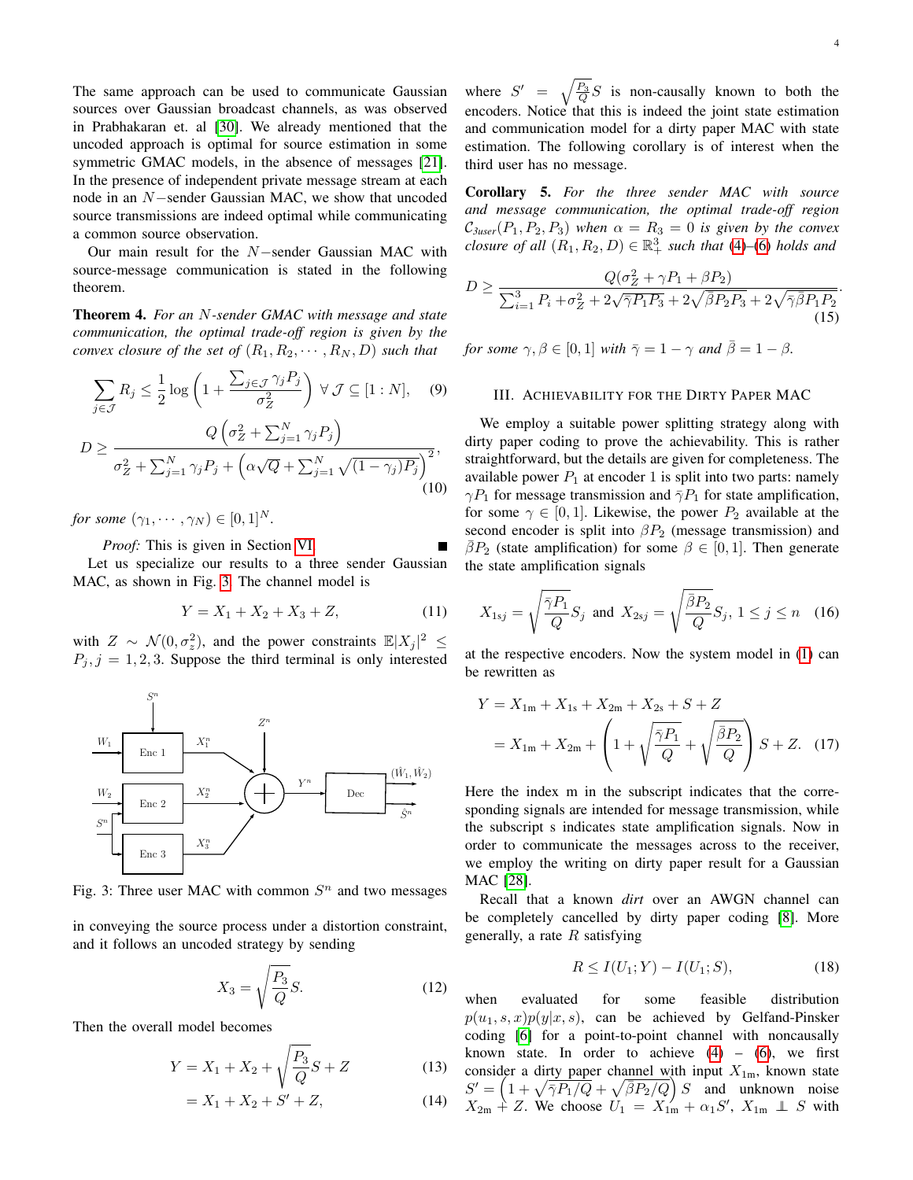The same approach can be used to communicate Gaussian sources over Gaussian broadcast channels, as was observed in Prabhakaran et. al [\[30\]](#page-11-22). We already mentioned that the uncoded approach is optimal for source estimation in some symmetric GMAC models, in the absence of messages [\[21\]](#page-11-13). In the presence of independent private message stream at each node in an N−sender Gaussian MAC, we show that uncoded source transmissions are indeed optimal while communicating a common source observation.

Our main result for the N−sender Gaussian MAC with source-message communication is stated in the following theorem.

<span id="page-3-2"></span>Theorem 4. *For an* N*-sender GMAC with message and state communication, the optimal trade-off region is given by the convex closure of the set of*  $(R_1, R_2, \cdots, R_N, D)$  *such that* 

$$
\sum_{j \in \mathcal{J}} R_j \le \frac{1}{2} \log \left( 1 + \frac{\sum_{j \in \mathcal{J}} \gamma_j P_j}{\sigma_Z^2} \right) \ \forall \ \mathcal{J} \subseteq [1:N], \quad (9)
$$

$$
D \ge \frac{Q\left(\sigma_Z^2 + \sum_{j=1}^N \gamma_j P_j\right)}{\sigma_Z^2 + \sum_{j=1}^N \gamma_j P_j + \left(\alpha \sqrt{Q} + \sum_{j=1}^N \sqrt{(1 - \gamma_j) P_j}\right)^2},\tag{10}
$$

*for some*  $(\gamma_1, \cdots, \gamma_N) \in [0, 1]^N$ *.* 

*Proof:* This is given in Section [VI.](#page-6-0) Let us specialize our results to a three sender Gaussian MAC, as shown in Fig. [3.](#page-3-1) The channel model is

$$
Y = X_1 + X_2 + X_3 + Z,\tag{11}
$$

with  $Z \sim \mathcal{N}(0, \sigma_z^2)$ , and the power constraints  $\mathbb{E}|X_j|^2 \leq$  $P_j$ ,  $j = 1, 2, 3$ . Suppose the third terminal is only interested

<span id="page-3-1"></span>

Fig. 3: Three user MAC with common  $S<sup>n</sup>$  and two messages

in conveying the source process under a distortion constraint, and it follows an uncoded strategy by sending

$$
X_3 = \sqrt{\frac{P_3}{Q}} S. \tag{12}
$$

Then the overall model becomes

$$
Y = X_1 + X_2 + \sqrt{\frac{P_3}{Q}}S + Z \tag{13}
$$

$$
= X_1 + X_2 + S' + Z,\t(14)
$$

where  $S' = \sqrt{\frac{P_3}{Q}}S$  is non-causally known to both the encoders. Notice that this is indeed the joint state estimation and communication model for a dirty paper MAC with state estimation. The following corollary is of interest when the third user has no message.

Corollary 5. *For the three sender MAC with source and message communication, the optimal trade-off region*  $C_{3user}(P_1, P_2, P_3)$  when  $\alpha = R_3 = 0$  *is given by the convex closure of all*  $(R_1, R_2, D) \in \mathbb{R}^3_+$  *such that* [\(4\)](#page-2-3)–[\(6\)](#page-2-6) *holds and* 

$$
D \ge \frac{Q(\sigma_Z^2 + \gamma P_1 + \beta P_2)}{\sum_{i=1}^3 P_i + \sigma_Z^2 + 2\sqrt{\bar{\gamma}P_1P_3} + 2\sqrt{\bar{\beta}P_2P_3} + 2\sqrt{\bar{\gamma}\bar{\beta}P_1P_2}}.
$$
\n(15)

*for some*  $\gamma, \beta \in [0, 1]$  *with*  $\bar{\gamma} = 1 - \gamma$  *and*  $\bar{\beta} = 1 - \beta$ *.* 

#### <span id="page-3-0"></span>III. ACHIEVABILITY FOR THE DIRTY PAPER MAC

<span id="page-3-3"></span>We employ a suitable power splitting strategy along with dirty paper coding to prove the achievability. This is rather straightforward, but the details are given for completeness. The available power  $P_1$  at encoder 1 is split into two parts: namely  $\gamma P_1$  for message transmission and  $\bar{\gamma}P_1$  for state amplification, for some  $\gamma \in [0, 1]$ . Likewise, the power  $P_2$  available at the second encoder is split into  $\beta P_2$  (message transmission) and  $\bar{\beta}P_2$  (state amplification) for some  $\beta \in [0,1]$ . Then generate the state amplification signals

$$
X_{1sj} = \sqrt{\frac{\bar{\gamma}P_1}{Q}} S_j \text{ and } X_{2sj} = \sqrt{\frac{\bar{\beta}P_2}{Q}} S_j, 1 \le j \le n \quad (16)
$$

at the respective encoders. Now the system model in [\(1\)](#page-2-7) can be rewritten as

$$
Y = X_{1m} + X_{1s} + X_{2m} + X_{2s} + S + Z
$$
  
=  $X_{1m} + X_{2m} + \left(1 + \sqrt{\frac{\bar{\gamma}P_1}{Q}} + \sqrt{\frac{\bar{\beta}P_2}{Q}}\right)S + Z.$  (17)

Here the index m in the subscript indicates that the corresponding signals are intended for message transmission, while the subscript s indicates state amplification signals. Now in order to communicate the messages across to the receiver, we employ the writing on dirty paper result for a Gaussian MAC [\[28\]](#page-11-20).

Recall that a known *dirt* over an AWGN channel can be completely cancelled by dirty paper coding [\[8\]](#page-11-0). More generally, a rate  $R$  satisfying

$$
R \le I(U_1; Y) - I(U_1; S), \tag{18}
$$

when evaluated for some feasible distribution  $p(u_1, s, x)p(y|x, s)$ , can be achieved by Gelfand-Pinsker coding [\[6\]](#page-10-5) for a point-to-point channel with noncausally known state. In order to achieve  $(4)$  –  $(6)$ , we first consider a dirty paper channel with input  $X_{1m}$ , known state  $S' = \left(1 + \sqrt{\overline{\gamma}P_1/Q} + \sqrt{\overline{\beta}P_2/Q}\right)S$  and unknown noise  $X_{2m}$  + Z. We choose  $U_1 = X'_{1m} + \alpha_1 S'$ ,  $X_{1m} \perp S$  with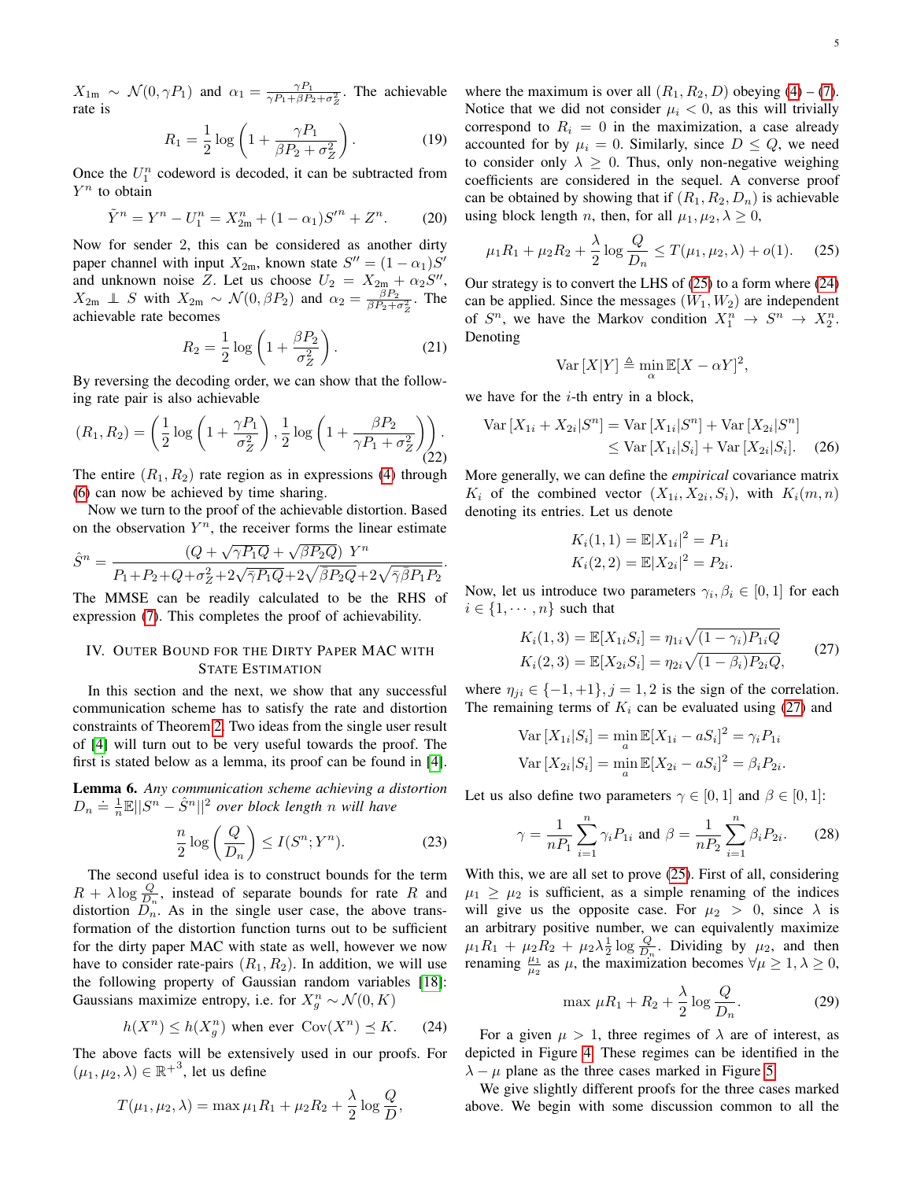$X_{1m} \sim \mathcal{N}(0, \gamma P_1)$  and  $\alpha_1 = \frac{\gamma P_1}{\gamma P_1 + \beta P_1}$  $\frac{\gamma P_1}{\gamma P_1 + \beta P_2 + \sigma_z^2}$ . The achievable rate is

$$
R_1 = \frac{1}{2}\log\left(1 + \frac{\gamma P_1}{\beta P_2 + \sigma_Z^2}\right). \tag{19}
$$

Once the  $U_1^n$  codeword is decoded, it can be subtracted from  $Y^n$  to obtain

$$
\tilde{Y}^{n} = Y^{n} - U_{1}^{n} = X_{2m}^{n} + (1 - \alpha_{1})S''^{n} + Z^{n}.
$$
 (20)

Now for sender 2, this can be considered as another dirty paper channel with input  $X_{2m}$ , known state  $S'' = (1 - \alpha_1)S'$ and unknown noise Z. Let us choose  $U_2 = X_{2m} + \alpha_2 S''$ ,  $X_{2m} \perp S$  with  $X_{2m} \sim \mathcal{N}(0, \beta P_2)$  and  $\alpha_2 = \frac{\beta P_2}{\beta P_2 + \beta P_1}$  $\frac{\beta P_2}{\beta P_2 + \sigma_Z^2}$ . The achievable rate becomes

$$
R_2 = \frac{1}{2}\log\left(1 + \frac{\beta P_2}{\sigma_Z^2}\right). \tag{21}
$$

By reversing the decoding order, we can show that the following rate pair is also achievable

$$
(R_1, R_2) = \left(\frac{1}{2}\log\left(1 + \frac{\gamma P_1}{\sigma_Z^2}\right), \frac{1}{2}\log\left(1 + \frac{\beta P_2}{\gamma P_1 + \sigma_Z^2}\right)\right).
$$
\n(22)

The entire  $(R_1, R_2)$  rate region as in expressions [\(4\)](#page-2-3) through [\(6\)](#page-2-6) can now be achieved by time sharing.

Now we turn to the proof of the achievable distortion. Based on the observation  $Y^n$ , the receiver forms the linear estimate

$$
\hat{S}^n = \frac{(Q + \sqrt{\gamma P_1 Q} + \sqrt{\beta P_2 Q}) Y^n}{P_1 + P_2 + Q + \sigma_Z^2 + 2\sqrt{\gamma P_1 Q} + 2\sqrt{\beta P_2 Q} + 2\sqrt{\gamma \beta P_1 P_2}}
$$

The MMSE can be readily calculated to be the RHS of expression [\(7\)](#page-2-4). This completes the proof of achievability.

# <span id="page-4-0"></span>IV. OUTER BOUND FOR THE DIRTY PAPER MAC WITH STATE ESTIMATION

In this section and the next, we show that any successful communication scheme has to satisfy the rate and distortion constraints of Theorem [2.](#page-2-8) Two ideas from the single user result of [\[4\]](#page-10-3) will turn out to be very useful towards the proof. The first is stated below as a lemma, its proof can be found in [\[4\]](#page-10-3).

<span id="page-4-5"></span>Lemma 6. *Any communication scheme achieving a distortion*  $D_n \doteq \frac{1}{n} \mathbb{E} \Vert S^n - \hat{S}^n \Vert^2$  over block length n will have

$$
\frac{n}{2}\log\left(\frac{Q}{D_n}\right) \le I(S^n;Y^n). \tag{23}
$$

The second useful idea is to construct bounds for the term  $R + \lambda \log \frac{Q}{D_n}$ , instead of separate bounds for rate R and distortion  $D_n^{\pi}$ . As in the single user case, the above transformation of the distortion function turns out to be sufficient for the dirty paper MAC with state as well, however we now have to consider rate-pairs  $(R_1, R_2)$ . In addition, we will use the following property of Gaussian random variables [\[18\]](#page-11-10): Gaussians maximize entropy, i.e. for  $X_g^n \sim \mathcal{N}(0, K)$ 

$$
h(X^n) \le h(X_g^n) \text{ when ever } \text{Cov}(X^n) \preceq K. \tag{24}
$$

The above facts will be extensively used in our proofs. For  $(\mu_1, \mu_2, \lambda) \in \mathbb{R}^{+3}$ , let us define

$$
T(\mu_1, \mu_2, \lambda) = \max \mu_1 R_1 + \mu_2 R_2 + \frac{\lambda}{2} \log \frac{Q}{D},
$$

where the maximum is over all  $(R_1, R_2, D)$  obeying [\(4\)](#page-2-3) – [\(7\)](#page-2-4). Notice that we did not consider  $\mu_i < 0$ , as this will trivially correspond to  $R_i = 0$  in the maximization, a case already accounted for by  $\mu_i = 0$ . Similarly, since  $D \leq Q$ , we need to consider only  $\lambda \geq 0$ . Thus, only non-negative weighing coefficients are considered in the sequel. A converse proof can be obtained by showing that if  $(R_1, R_2, D_n)$  is achievable using block length *n*, then, for all  $\mu_1, \mu_2, \lambda \geq 0$ ,

$$
\mu_1 R_1 + \mu_2 R_2 + \frac{\lambda}{2} \log \frac{Q}{D_n} \le T(\mu_1, \mu_2, \lambda) + o(1). \tag{25}
$$

Our strategy is to convert the LHS of [\(25\)](#page-4-1) to a form where [\(24\)](#page-4-2) can be applied. Since the messages  $(W_1, W_2)$  are independent of  $S^n$ , we have the Markov condition  $X_1^n \to S^n \to X_2^n$ . Denoting

<span id="page-4-1"></span>
$$
Var[X|Y] \triangleq \min_{\alpha} \mathbb{E}[X - \alpha Y]^2,
$$

we have for the  $i$ -th entry in a block,

.

$$
\operatorname{Var}\left[X_{1i} + X_{2i}|S^n\right] = \operatorname{Var}\left[X_{1i}|S^n\right] + \operatorname{Var}\left[X_{2i}|S^n\right] \\
\leq \operatorname{Var}\left[X_{1i}|S_i\right] + \operatorname{Var}\left[X_{2i}|S_i\right].\n \tag{26}
$$

More generally, we can define the *empirical* covariance matrix  $K_i$  of the combined vector  $(X_{1i}, X_{2i}, S_i)$ , with  $K_i(m, n)$ denoting its entries. Let us denote

<span id="page-4-3"></span>
$$
K_i(1,1) = \mathbb{E}|X_{1i}|^2 = P_{1i}
$$
  

$$
K_i(2,2) = \mathbb{E}|X_{2i}|^2 = P_{2i}.
$$

Now, let us introduce two parameters  $\gamma_i, \beta_i \in [0,1]$  for each  $i \in \{1, \cdots, n\}$  such that

$$
K_i(1,3) = \mathbb{E}[X_{1i}S_i] = \eta_{1i}\sqrt{(1-\gamma_i)P_{1i}Q}
$$
  
\n
$$
K_i(2,3) = \mathbb{E}[X_{2i}S_i] = \eta_{2i}\sqrt{(1-\beta_i)P_{2i}Q},
$$
\n(27)

where  $\eta_{ji} \in \{-1, +1\}, j = 1, 2$  is the sign of the correlation. The remaining terms of  $K_i$  can be evaluated using [\(27\)](#page-4-3) and

Var 
$$
[X_{1i}|S_i]
$$
 =  $\min_a \mathbb{E}[X_{1i} - aS_i]^2 = \gamma_i P_{1i}$   
Var  $[X_{2i}|S_i]$  =  $\min_a \mathbb{E}[X_{2i} - aS_i]^2 = \beta_i P_{2i}$ .

Let us also define two parameters  $\gamma \in [0, 1]$  and  $\beta \in [0, 1]$ :

<span id="page-4-4"></span>
$$
\gamma = \frac{1}{nP_1} \sum_{i=1}^{n} \gamma_i P_{1i} \text{ and } \beta = \frac{1}{nP_2} \sum_{i=1}^{n} \beta_i P_{2i}. \tag{28}
$$

With this, we are all set to prove [\(25\)](#page-4-1). First of all, considering  $\mu_1 \geq \mu_2$  is sufficient, as a simple renaming of the indices will give us the opposite case. For  $\mu_2 > 0$ , since  $\lambda$  is an arbitrary positive number, we can equivalently maximize  $\mu_1 R_1 + \mu_2 R_2 + \mu_2 \lambda \frac{1}{2} \log \frac{Q}{D_n}$ . Dividing by  $\mu_2$ , and then renaming  $\frac{\mu_1}{\mu_2}$  as  $\mu$ , the maximization becomes  $\forall \mu \geq 1, \lambda \geq 0$ ,

$$
\max \mu R_1 + R_2 + \frac{\lambda}{2} \log \frac{Q}{D_n}.\tag{29}
$$

<span id="page-4-2"></span>For a given  $\mu > 1$ , three regimes of  $\lambda$  are of interest, as depicted in Figure [4.](#page-5-1) These regimes can be identified in the  $\lambda - \mu$  plane as the three cases marked in Figure [5.](#page-5-2)

We give slightly different proofs for the three cases marked above. We begin with some discussion common to all the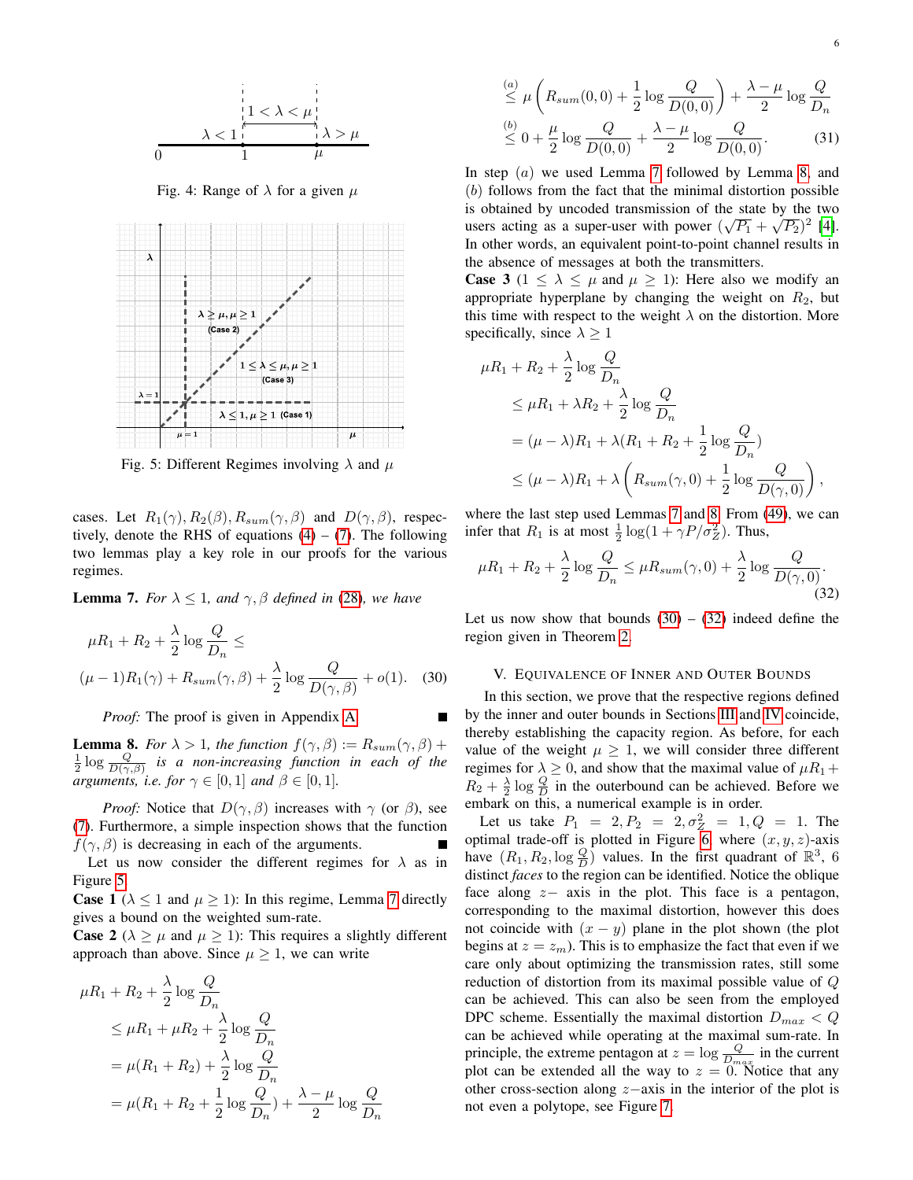<span id="page-5-1"></span>

Fig. 4: Range of  $\lambda$  for a given  $\mu$ 

<span id="page-5-2"></span>

Fig. 5: Different Regimes involving  $\lambda$  and  $\mu$ 

cases. Let  $R_1(\gamma)$ ,  $R_2(\beta)$ ,  $R_{sum}(\gamma, \beta)$  and  $D(\gamma, \beta)$ , respectively, denote the RHS of equations  $(4) - (7)$  $(4) - (7)$  $(4) - (7)$ . The following two lemmas play a key role in our proofs for the various regimes.

<span id="page-5-3"></span>**Lemma 7.** *For*  $\lambda \leq 1$ *, and*  $\gamma$ *,*  $\beta$  *defined in* [\(28\)](#page-4-4)*, we have* 

$$
\mu R_1 + R_2 + \frac{\lambda}{2} \log \frac{Q}{D_n} \le
$$
  

$$
(\mu - 1)R_1(\gamma) + R_{sum}(\gamma, \beta) + \frac{\lambda}{2} \log \frac{Q}{D(\gamma, \beta)} + o(1).
$$
 (30)

П

*Proof:* The proof is given in Appendix [A.](#page-8-1)

<span id="page-5-4"></span>**Lemma 8.** *For*  $\lambda > 1$ *, the function*  $f(\gamma, \beta) := R_{sum}(\gamma, \beta) +$  $\frac{1}{2} \log \frac{Q}{D(\gamma,\beta)}$  is a non-increasing function in each of the *arguments, i.e. for*  $\gamma \in [0, 1]$  *and*  $\beta \in [0, 1]$ *.* 

*Proof:* Notice that  $D(\gamma, \beta)$  increases with  $\gamma$  (or  $\beta$ ), see [\(7\)](#page-2-4). Furthermore, a simple inspection shows that the function  $f(\gamma, \beta)$  is decreasing in each of the arguments.

Let us now consider the different regimes for  $\lambda$  as in Figure [5.](#page-5-2)

**Case 1** ( $\lambda \le 1$  and  $\mu \ge 1$ ): In this regime, Lemma [7](#page-5-3) directly gives a bound on the weighted sum-rate.

**Case 2** ( $\lambda \geq \mu$  and  $\mu \geq 1$ ): This requires a slightly different approach than above. Since  $\mu \geq 1$ , we can write

$$
\mu R_1 + R_2 + \frac{\lambda}{2} \log \frac{Q}{D_n}
$$
  
\n
$$
\leq \mu R_1 + \mu R_2 + \frac{\lambda}{2} \log \frac{Q}{D_n}
$$
  
\n
$$
= \mu (R_1 + R_2) + \frac{\lambda}{2} \log \frac{Q}{D_n}
$$
  
\n
$$
= \mu (R_1 + R_2 + \frac{1}{2} \log \frac{Q}{D_n}) + \frac{\lambda - \mu}{2} \log \frac{Q}{D_n}
$$

$$
\stackrel{(a)}{\leq} \mu\left(R_{sum}(0,0) + \frac{1}{2}\log\frac{Q}{D(0,0)}\right) + \frac{\lambda - \mu}{2}\log\frac{Q}{D_n}
$$
  

$$
\stackrel{(b)}{\leq} 0 + \frac{\mu}{2}\log\frac{Q}{D(0,0)} + \frac{\lambda - \mu}{2}\log\frac{Q}{D(0,0)}.
$$
 (31)

In step  $(a)$  we used Lemma [7](#page-5-3) followed by Lemma [8,](#page-5-4) and (b) follows from the fact that the minimal distortion possible is obtained by uncoded transmission of the state by the two users acting as a super-user with power  $(\sqrt{P_1} + \sqrt{P_2})^2$  [\[4\]](#page-10-3). In other words, an equivalent point-to-point channel results in the absence of messages at both the transmitters.

**Case 3** ( $1 \le \lambda \le \mu$  and  $\mu \ge 1$ ): Here also we modify an appropriate hyperplane by changing the weight on  $R_2$ , but this time with respect to the weight  $\lambda$  on the distortion. More specifically, since  $\lambda \geq 1$ 

$$
\mu R_1 + R_2 + \frac{\lambda}{2} \log \frac{Q}{D_n}
$$
  
\n
$$
\leq \mu R_1 + \lambda R_2 + \frac{\lambda}{2} \log \frac{Q}{D_n}
$$
  
\n
$$
= (\mu - \lambda)R_1 + \lambda (R_1 + R_2 + \frac{1}{2} \log \frac{Q}{D_n})
$$
  
\n
$$
\leq (\mu - \lambda)R_1 + \lambda \left(R_{sum}(\gamma, 0) + \frac{1}{2} \log \frac{Q}{D(\gamma, 0)}\right),
$$

where the last step used Lemmas [7](#page-5-3) and [8.](#page-5-4) From [\(49\)](#page-9-0), we can infer that  $R_1$  is at most  $\frac{1}{2} \log(1 + \gamma P/\sigma_Z^2)$ . Thus,

$$
\mu R_1 + R_2 + \frac{\lambda}{2} \log \frac{Q}{D_n} \le \mu R_{sum}(\gamma, 0) + \frac{\lambda}{2} \log \frac{Q}{D(\gamma, 0)}.
$$
\n(32)

Let us now show that bounds  $(30) - (32)$  $(30) - (32)$  $(30) - (32)$  indeed define the region given in Theorem [2.](#page-2-8)

#### <span id="page-5-6"></span>V. EQUIVALENCE OF INNER AND OUTER BOUNDS

<span id="page-5-5"></span><span id="page-5-0"></span>In this section, we prove that the respective regions defined by the inner and outer bounds in Sections [III](#page-3-0) and [IV](#page-4-0) coincide, thereby establishing the capacity region. As before, for each value of the weight  $\mu \geq 1$ , we will consider three different regimes for  $\lambda \geq 0$ , and show that the maximal value of  $\mu R_1 +$  $R_2 + \frac{\lambda}{2} \log \frac{Q}{D}$  in the outerbound can be achieved. Before we embark on this, a numerical example is in order.

Let us take  $P_1 = 2, P_2 = 2, \sigma_Z^2 = 1, Q = 1$ . The optimal trade-off is plotted in Figure [6,](#page-6-1) where  $(x, y, z)$ -axis have  $(R_1, R_2, \log \frac{Q}{D})$  values. In the first quadrant of  $\mathbb{R}^3$ , 6 distinct *faces* to the region can be identified. Notice the oblique face along  $z-$  axis in the plot. This face is a pentagon, corresponding to the maximal distortion, however this does not coincide with  $(x - y)$  plane in the plot shown (the plot begins at  $z = z_m$ ). This is to emphasize the fact that even if we care only about optimizing the transmission rates, still some reduction of distortion from its maximal possible value of Q can be achieved. This can also be seen from the employed DPC scheme. Essentially the maximal distortion  $D_{max} < Q$ can be achieved while operating at the maximal sum-rate. In principle, the extreme pentagon at  $z = \log \frac{Q}{D_{max}}$  in the current plot can be extended all the way to  $z = 0$ . Notice that any other cross-section along z−axis in the interior of the plot is not even a polytope, see Figure [7.](#page-6-2)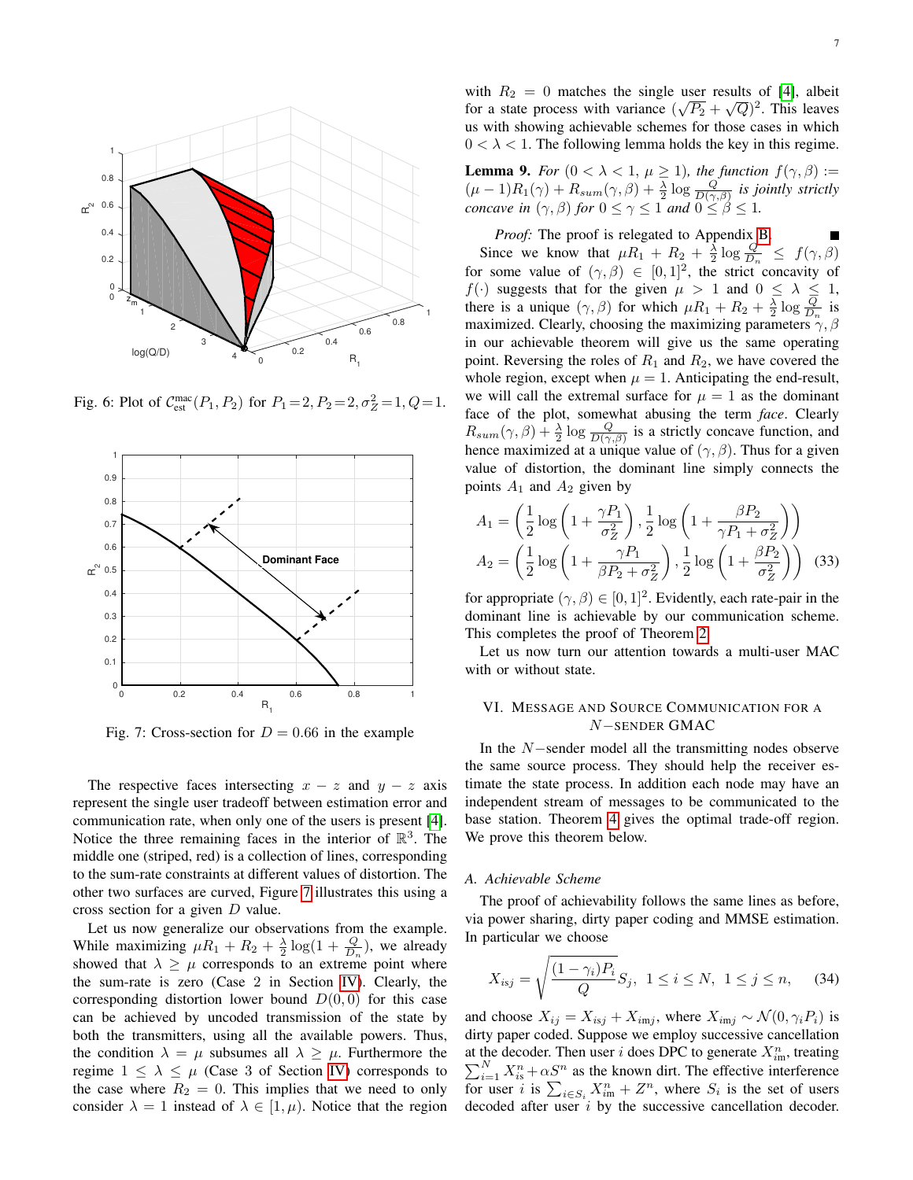<span id="page-6-1"></span>

Fig. 6: Plot of  $C_{est}^{mac}(P_1, P_2)$  for  $P_1 = 2, P_2 = 2, \sigma_Z^2 = 1, Q = 1$ .

<span id="page-6-2"></span>

Fig. 7: Cross-section for  $D = 0.66$  in the example

The respective faces intersecting  $x - z$  and  $y - z$  axis represent the single user tradeoff between estimation error and communication rate, when only one of the users is present [\[4\]](#page-10-3). Notice the three remaining faces in the interior of  $\mathbb{R}^3$ . The middle one (striped, red) is a collection of lines, corresponding to the sum-rate constraints at different values of distortion. The other two surfaces are curved, Figure [7](#page-6-2) illustrates this using a cross section for a given  $D$  value.

Let us now generalize our observations from the example. While maximizing  $\mu R_1 + R_2 + \frac{\lambda}{2} \log(1 + \frac{Q}{D_n})$ , we already showed that  $\lambda \geq \mu$  corresponds to an extreme point where the sum-rate is zero (Case 2 in Section [IV\)](#page-4-0). Clearly, the corresponding distortion lower bound  $D(0, 0)$  for this case can be achieved by uncoded transmission of the state by both the transmitters, using all the available powers. Thus, the condition  $\lambda = \mu$  subsumes all  $\lambda \geq \mu$ . Furthermore the regime  $1 \leq \lambda \leq \mu$  (Case 3 of Section [IV\)](#page-4-0) corresponds to the case where  $R_2 = 0$ . This implies that we need to only consider  $\lambda = 1$  instead of  $\lambda \in [1, \mu)$ . Notice that the region

with  $R_2 = 0$  matches the single user results of [\[4\]](#page-10-3), albeit for a state process with variance  $(\sqrt{P_2} + \sqrt{Q})^2$ . This leaves us with showing achievable schemes for those cases in which  $0 < \lambda < 1$ . The following lemma holds the key in this regime.

<span id="page-6-3"></span>**Lemma 9.** *For*  $(0 < \lambda < 1, \mu \ge 1)$ *, the function*  $f(\gamma, \beta) :=$  $(\mu - 1)R_1(\gamma) + R_{sum}(\gamma, \beta) + \frac{\lambda}{2} \log \frac{Q}{D(\gamma, \beta)}$  is jointly strictly *concave in*  $(\gamma, \beta)$  *for*  $0 \leq \gamma \leq 1$  *and*  $0 \leq \beta \leq 1$ *.* 

*Proof:* The proof is relegated to Appendix [B.](#page-9-1) Since we know that  $\mu R_1 + R_2 + \frac{\lambda}{2} \log \frac{Q}{D_n} \leq f(\gamma, \beta)$ for some value of  $(\gamma, \beta) \in [0, 1]^2$ , the strict concavity of  $f(\cdot)$  suggests that for the given  $\mu > 1$  and  $0 \leq \lambda \leq 1$ , there is a unique  $(\gamma, \beta)$  for which  $\mu R_1 + R_2 + \frac{\lambda}{2} \log \frac{Q}{D_n}$  is maximized. Clearly, choosing the maximizing parameters  $\gamma$ ,  $\beta$ in our achievable theorem will give us the same operating point. Reversing the roles of  $R_1$  and  $R_2$ , we have covered the whole region, except when  $\mu = 1$ . Anticipating the end-result, we will call the extremal surface for  $\mu = 1$  as the dominant face of the plot, somewhat abusing the term *face*. Clearly  $R_{sum}(\gamma,\beta) + \frac{\lambda}{2} \log \frac{Q}{D(\gamma,\beta)}$  is a strictly concave function, and hence maximized at a unique value of  $(\gamma, \beta)$ . Thus for a given value of distortion, the dominant line simply connects the points  $A_1$  and  $A_2$  given by

$$
A_1 = \left(\frac{1}{2}\log\left(1 + \frac{\gamma P_1}{\sigma_Z^2}\right), \frac{1}{2}\log\left(1 + \frac{\beta P_2}{\gamma P_1 + \sigma_Z^2}\right)\right)
$$
  

$$
A_2 = \left(\frac{1}{2}\log\left(1 + \frac{\gamma P_1}{\beta P_2 + \sigma_Z^2}\right), \frac{1}{2}\log\left(1 + \frac{\beta P_2}{\sigma_Z^2}\right)\right)
$$
(33)

for appropriate  $(\gamma, \beta) \in [0, 1]^2$ . Evidently, each rate-pair in the dominant line is achievable by our communication scheme. This completes the proof of Theorem [2.](#page-2-8)

Let us now turn our attention towards a multi-user MAC with or without state.

# <span id="page-6-0"></span>VI. MESSAGE AND SOURCE COMMUNICATION FOR A N−SENDER GMAC

In the N−sender model all the transmitting nodes observe the same source process. They should help the receiver estimate the state process. In addition each node may have an independent stream of messages to be communicated to the base station. Theorem [4](#page-3-2) gives the optimal trade-off region. We prove this theorem below.

#### *A. Achievable Scheme*

The proof of achievability follows the same lines as before, via power sharing, dirty paper coding and MMSE estimation. In particular we choose

$$
X_{isj} = \sqrt{\frac{(1 - \gamma_i)P_i}{Q}} S_j, \ 1 \le i \le N, \ 1 \le j \le n,
$$
 (34)

and choose  $X_{ij} = X_{isj} + X_{imj}$ , where  $X_{imj} \sim \mathcal{N}(0, \gamma_i P_i)$  is dirty paper coded. Suppose we employ successive cancellation at the decoder. Then user i does DPC to generate  $X_{im}^n$ , treating  $\sum_{i=1}^{N} X_{i}^{n} + \alpha S^{n}$  as the known dirt. The effective interference for user i is  $\sum_{i \in S_i} X_{im}^n + Z^n$ , where  $S_i$  is the set of users decoded after user  $i$  by the successive cancellation decoder.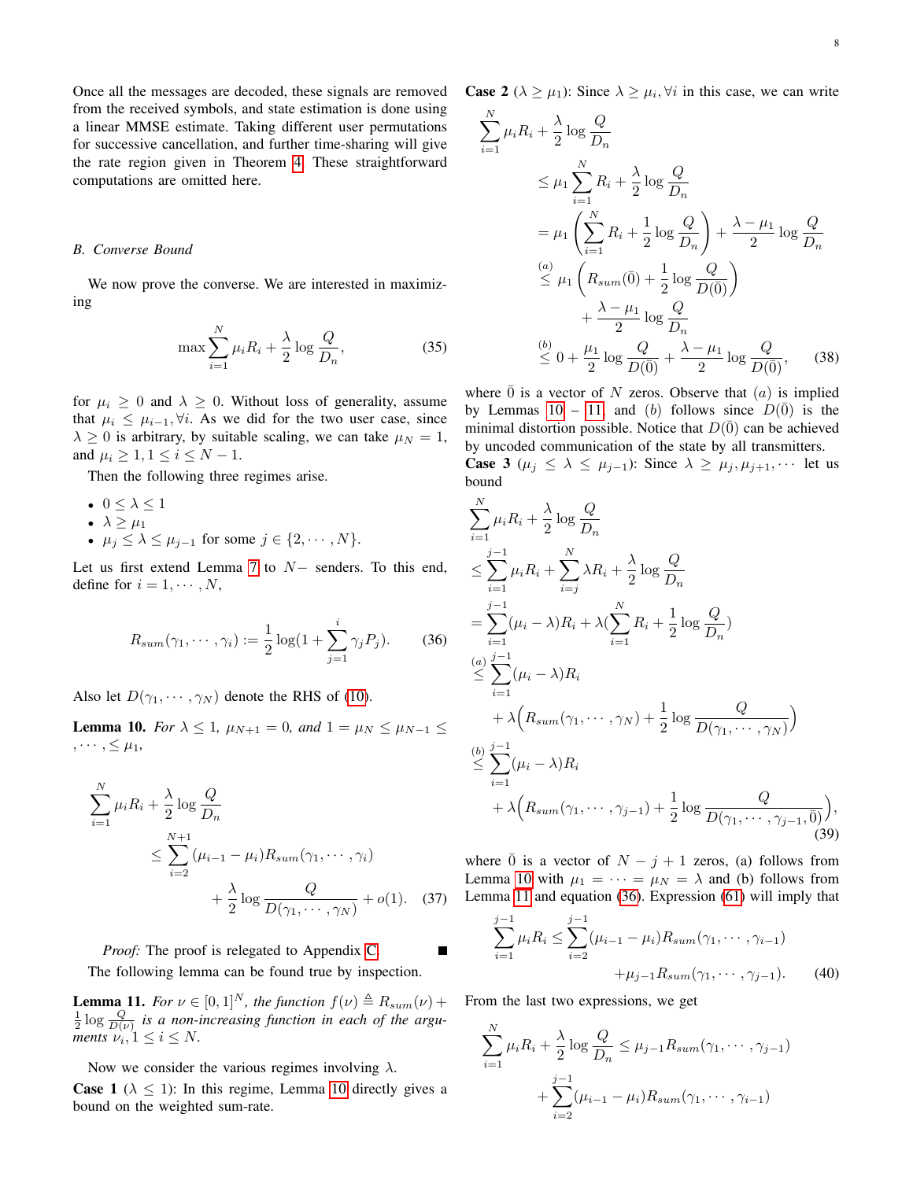Once all the messages are decoded, these signals are removed from the received symbols, and state estimation is done using a linear MMSE estimate. Taking different user permutations for successive cancellation, and further time-sharing will give the rate region given in Theorem [4.](#page-3-2) These straightforward computations are omitted here.

## *B. Converse Bound*

We now prove the converse. We are interested in maximizing

$$
\max \sum_{i=1}^{N} \mu_i R_i + \frac{\lambda}{2} \log \frac{Q}{D_n},\tag{35}
$$

for  $\mu_i \geq 0$  and  $\lambda \geq 0$ . Without loss of generality, assume that  $\mu_i \leq \mu_{i-1}, \forall i$ . As we did for the two user case, since  $\lambda \geq 0$  is arbitrary, by suitable scaling, we can take  $\mu = 1$ , and  $\mu_i \geq 1, 1 \leq i \leq N-1$ .

Then the following three regimes arise.

$$
\bullet \ \ 0 \leq \lambda \leq 1
$$

- $\lambda \geq \mu_1$
- $\mu_j \leq \lambda \leq \mu_{j-1}$  for some  $j \in \{2, \cdots, N\}.$

Let us first extend Lemma [7](#page-5-3) to N− senders. To this end, define for  $i = 1, \dots, N$ ,

<span id="page-7-2"></span>
$$
R_{sum}(\gamma_1, \cdots, \gamma_i) := \frac{1}{2} \log(1 + \sum_{j=1}^i \gamma_j P_j).
$$
 (36)

Also let  $D(\gamma_1, \cdots, \gamma_N)$  denote the RHS of [\(10\)](#page-3-3).

<span id="page-7-0"></span>**Lemma 10.** *For*  $\lambda \leq 1$ ,  $\mu_{N+1} = 0$ , and  $1 = \mu_N \leq \mu_{N-1} \leq$  $, \cdots, \leq \mu_1$ 

$$
\sum_{i=1}^{N} \mu_i R_i + \frac{\lambda}{2} \log \frac{Q}{D_n}
$$
  
 
$$
\leq \sum_{i=2}^{N+1} (\mu_{i-1} - \mu_i) R_{sum}(\gamma_1, \cdots, \gamma_i)
$$
  
 
$$
+ \frac{\lambda}{2} \log \frac{Q}{D(\gamma_1, \cdots, \gamma_N)} + o(1). \quad (37)
$$

*Proof:* The proof is relegated to Appendix [C.](#page-9-2) The following lemma can be found true by inspection.

<span id="page-7-1"></span>**Lemma 11.** *For*  $\nu \in [0,1]^N$ *, the function*  $f(\nu) \triangleq R_{sum}(\nu) +$  $\frac{1}{2}$  log  $\frac{Q}{D(\nu)}$  is a non-increasing function in each of the argu*ments*  $\nu_i$ ,  $1 \leq i \leq N$ .

Now we consider the various regimes involving  $\lambda$ . **Case 1** ( $\lambda \leq 1$ ): In this regime, Lemma [10](#page-7-0) directly gives a bound on the weighted sum-rate.

**Case 2** ( $\lambda \geq \mu_1$ ): Since  $\lambda \geq \mu_i$ ,  $\forall i$  in this case, we can write

$$
\sum_{i=1}^{N} \mu_i R_i + \frac{\lambda}{2} \log \frac{Q}{D_n}
$$
\n
$$
\leq \mu_1 \sum_{i=1}^{N} R_i + \frac{\lambda}{2} \log \frac{Q}{D_n}
$$
\n
$$
= \mu_1 \left( \sum_{i=1}^{N} R_i + \frac{1}{2} \log \frac{Q}{D_n} \right) + \frac{\lambda - \mu_1}{2} \log \frac{Q}{D_n}
$$
\n
$$
\leq \mu_1 \left( R_{sum}(\bar{0}) + \frac{1}{2} \log \frac{Q}{D(\bar{0})} \right)
$$
\n
$$
+ \frac{\lambda - \mu_1}{2} \log \frac{Q}{D_n}
$$
\n
$$
\leq 0 + \frac{\mu_1}{2} \log \frac{Q}{D(\bar{0})} + \frac{\lambda - \mu_1}{2} \log \frac{Q}{D(\bar{0})}, \quad (38)
$$

where  $\overline{0}$  is a vector of N zeros. Observe that  $(a)$  is implied by Lemmas [10](#page-7-0) – [11,](#page-7-1) and (b) follows since  $D(\bar{0})$  is the minimal distortion possible. Notice that  $D(\overline{0})$  can be achieved by uncoded communication of the state by all transmitters.

**Case 3** ( $\mu_j \leq \lambda \leq \mu_{j-1}$ ): Since  $\lambda \geq \mu_j, \mu_{j+1}, \cdots$  let us bound

$$
\sum_{i=1}^{N} \mu_i R_i + \frac{\lambda}{2} \log \frac{Q}{D_n}
$$
\n
$$
\leq \sum_{i=1}^{j-1} \mu_i R_i + \sum_{i=j}^{N} \lambda R_i + \frac{\lambda}{2} \log \frac{Q}{D_n}
$$
\n
$$
= \sum_{i=1}^{j-1} (\mu_i - \lambda) R_i + \lambda (\sum_{i=1}^{N} R_i + \frac{1}{2} \log \frac{Q}{D_n})
$$
\n
$$
\leq \sum_{i=1}^{j-1} (\mu_i - \lambda) R_i
$$
\n
$$
+ \lambda \Big( R_{sum} (\gamma_1, \dots, \gamma_N) + \frac{1}{2} \log \frac{Q}{D(\gamma_1, \dots, \gamma_N)} \Big)
$$
\n
$$
\leq \sum_{i=1}^{j-1} (\mu_i - \lambda) R_i
$$
\n
$$
+ \lambda \Big( R_{sum} (\gamma_1, \dots, \gamma_{j-1}) + \frac{1}{2} \log \frac{Q}{D(\gamma_1, \dots, \gamma_{j-1}, \overline{0})} \Big), \tag{39}
$$

<span id="page-7-3"></span>where  $\overline{0}$  is a vector of  $N - j + 1$  zeros, (a) follows from Lemma [10](#page-7-0) with  $\mu_1 = \cdots = \mu_N = \lambda$  and (b) follows from Lemma [11](#page-7-1) and equation [\(36\)](#page-7-2). Expression [\(61\)](#page-10-7) will imply that

$$
\sum_{i=1}^{j-1} \mu_i R_i \le \sum_{i=2}^{j-1} (\mu_{i-1} - \mu_i) R_{sum}(\gamma_1, \cdots, \gamma_{i-1}) + \mu_{j-1} R_{sum}(\gamma_1, \cdots, \gamma_{j-1}).
$$
 (40)

From the last two expressions, we get

$$
\sum_{i=1}^{N} \mu_i R_i + \frac{\lambda}{2} \log \frac{Q}{D_n} \leq \mu_{j-1} R_{sum}(\gamma_1, \dots, \gamma_{j-1}) + \sum_{i=2}^{j-1} (\mu_{i-1} - \mu_i) R_{sum}(\gamma_1, \dots, \gamma_{i-1})
$$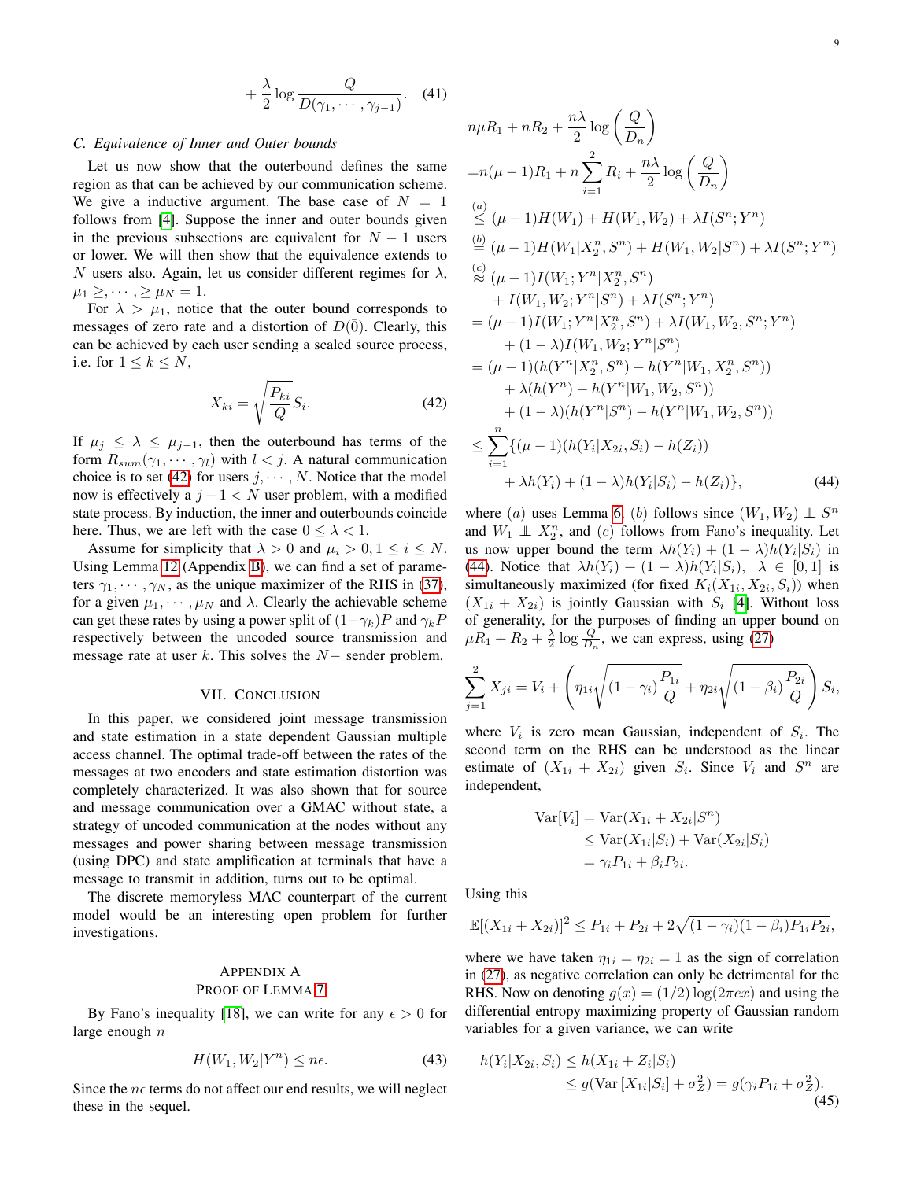$$
+\frac{\lambda}{2}\log\frac{Q}{D(\gamma_1,\cdots,\gamma_{j-1})}.
$$
 (41)

## *C. Equivalence of Inner and Outer bounds*

Let us now show that the outerbound defines the same region as that can be achieved by our communication scheme. We give a inductive argument. The base case of  $N = 1$ follows from [\[4\]](#page-10-3). Suppose the inner and outer bounds given in the previous subsections are equivalent for  $N - 1$  users or lower. We will then show that the equivalence extends to N users also. Again, let us consider different regimes for  $\lambda$ ,  $\mu_1 \geq, \cdots, \geq \mu_N = 1.$ 

For  $\lambda > \mu_1$ , notice that the outer bound corresponds to messages of zero rate and a distortion of  $D(\overline{0})$ . Clearly, this can be achieved by each user sending a scaled source process, i.e. for  $1 \leq k \leq N$ ,

$$
X_{ki} = \sqrt{\frac{P_{ki}}{Q}} S_i.
$$
 (42)

If  $\mu_j \leq \lambda \leq \mu_{j-1}$ , then the outerbound has terms of the form  $R_{sum}(\gamma_1, \cdots, \gamma_l)$  with  $l < j$ . A natural communication choice is to set [\(42\)](#page-8-2) for users  $j, \dots, N$ . Notice that the model now is effectively a  $j - 1 < N$  user problem, with a modified state process. By induction, the inner and outerbounds coincide here. Thus, we are left with the case  $0 \leq \lambda < 1$ .

Assume for simplicity that  $\lambda > 0$  and  $\mu_i > 0, 1 \le i \le N$ . Using Lemma [12](#page-9-3) (Appendix [B\)](#page-9-1), we can find a set of parameters  $\gamma_1, \cdots, \gamma_N$ , as the unique maximizer of the RHS in [\(37\)](#page-7-3), for a given  $\mu_1, \dots, \mu_N$  and  $\lambda$ . Clearly the achievable scheme can get these rates by using a power split of  $(1-\gamma_k)P$  and  $\gamma_kP$ respectively between the uncoded source transmission and message rate at user  $k$ . This solves the  $N-$  sender problem.

## VII. CONCLUSION

<span id="page-8-0"></span>In this paper, we considered joint message transmission and state estimation in a state dependent Gaussian multiple access channel. The optimal trade-off between the rates of the messages at two encoders and state estimation distortion was completely characterized. It was also shown that for source and message communication over a GMAC without state, a strategy of uncoded communication at the nodes without any messages and power sharing between message transmission (using DPC) and state amplification at terminals that have a message to transmit in addition, turns out to be optimal.

The discrete memoryless MAC counterpart of the current model would be an interesting open problem for further investigations.

# <span id="page-8-1"></span>APPENDIX A PROOF OF LEMMA [7](#page-5-3)

By Fano's inequality [\[18\]](#page-11-10), we can write for any  $\epsilon > 0$  for large enough  $n$ 

$$
H(W_1, W_2 | Y^n) \le n\epsilon. \tag{43}
$$

Since the  $n \epsilon$  terms do not affect our end results, we will neglect these in the sequel.

$$
n\mu R_1 + nR_2 + \frac{n\lambda}{2} \log\left(\frac{Q}{D_n}\right)
$$
  
=  $n(\mu - 1)R_1 + n \sum_{i=1}^2 R_i + \frac{n\lambda}{2} \log\left(\frac{Q}{D_n}\right)$   

$$
\stackrel{(a)}{\leq} (\mu - 1)H(W_1) + H(W_1, W_2) + \lambda I(S^n; Y^n)
$$
  

$$
\stackrel{(b)}{=} (\mu - 1)H(W_1|X_2^n, S^n) + H(W_1, W_2|S^n) + \lambda I(S^n; Y^n)
$$
  

$$
\stackrel{(c)}{\approx} (\mu - 1)I(W_1; Y^n|X_2^n, S^n)
$$
  

$$
+ I(W_1, W_2; Y^n|S^n) + \lambda I(S^n; Y^n)
$$
  

$$
= (\mu - 1)I(W_1; Y^n|X_2^n, S^n) + \lambda I(W_1, W_2, S^n; Y^n)
$$
  

$$
+ (1 - \lambda)I(W_1, W_2; Y^n|S^n)
$$
  

$$
= (\mu - 1)(h(Y^n|X_2^n, S^n) - h(Y^n|W_1, X_2^n, S^n))
$$
  

$$
+ \lambda (h(Y^n) - h(Y^n|W_1, W_2, S^n))
$$
  

$$
+ (1 - \lambda)(h(Y^n|S^n) - h(Y^n|W_1, W_2, S^n))
$$
  

$$
\leq \sum_{i=1}^n \{(\mu - 1)(h(Y_i|X_{2i}, S_i) - h(Z_i))\}
$$
  

$$
+ \lambda h(Y_i) + (1 - \lambda)h(Y_i|S_i) - h(Z_i)\}, \tag{44}
$$

<span id="page-8-3"></span><span id="page-8-2"></span>where (a) uses Lemma [6,](#page-4-5) (b) follows since  $(W_1, W_2) \perp S^n$ and  $W_1 \perp\!\!\!\perp X_2^n$ , and  $(c)$  follows from Fano's inequality. Let us now upper bound the term  $\lambda h(Y_i) + (1 - \lambda)h(Y_i|S_i)$  in [\(44\)](#page-8-3). Notice that  $\lambda h(Y_i) + (1 - \lambda)h(Y_i|S_i)$ ,  $\lambda \in [0,1]$  is simultaneously maximized (for fixed  $K_i(X_{1i}, X_{2i}, S_i)$ ) when  $(X_{1i} + X_{2i})$  is jointly Gaussian with  $S_i$  [\[4\]](#page-10-3). Without loss of generality, for the purposes of finding an upper bound on  $\mu R_1 + R_2 + \frac{\lambda}{2} \log \frac{Q}{D_n}$ , we can express, using [\(27\)](#page-4-3)

$$
\sum_{j=1}^{2} X_{ji} = V_i + \left( \eta_{1i} \sqrt{(1 - \gamma_i) \frac{P_{1i}}{Q}} + \eta_{2i} \sqrt{(1 - \beta_i) \frac{P_{2i}}{Q}} \right) S_i,
$$

where  $V_i$  is zero mean Gaussian, independent of  $S_i$ . The second term on the RHS can be understood as the linear estimate of  $(X_{1i} + X_{2i})$  given  $S_i$ . Since  $V_i$  and  $S^n$  are independent,

$$
\operatorname{Var}[V_i] = \operatorname{Var}(X_{1i} + X_{2i}|S^n)
$$
  
\n
$$
\leq \operatorname{Var}(X_{1i}|S_i) + \operatorname{Var}(X_{2i}|S_i)
$$
  
\n
$$
= \gamma_i P_{1i} + \beta_i P_{2i}.
$$

Using this

$$
\mathbb{E}[(X_{1i} + X_{2i})]^2 \le P_{1i} + P_{2i} + 2\sqrt{(1 - \gamma_i)(1 - \beta_i)P_{1i}P_{2i}},
$$

where we have taken  $\eta_{1i} = \eta_{2i} = 1$  as the sign of correlation in [\(27\)](#page-4-3), as negative correlation can only be detrimental for the RHS. Now on denoting  $g(x) = (1/2) \log(2\pi e x)$  and using the differential entropy maximizing property of Gaussian random variables for a given variance, we can write

<span id="page-8-4"></span>
$$
h(Y_i|X_{2i}, S_i) \le h(X_{1i} + Z_i|S_i)
$$
  
\n
$$
\le g(\text{Var}[X_{1i}|S_i] + \sigma_Z^2) = g(\gamma_i P_{1i} + \sigma_Z^2).
$$
\n(45)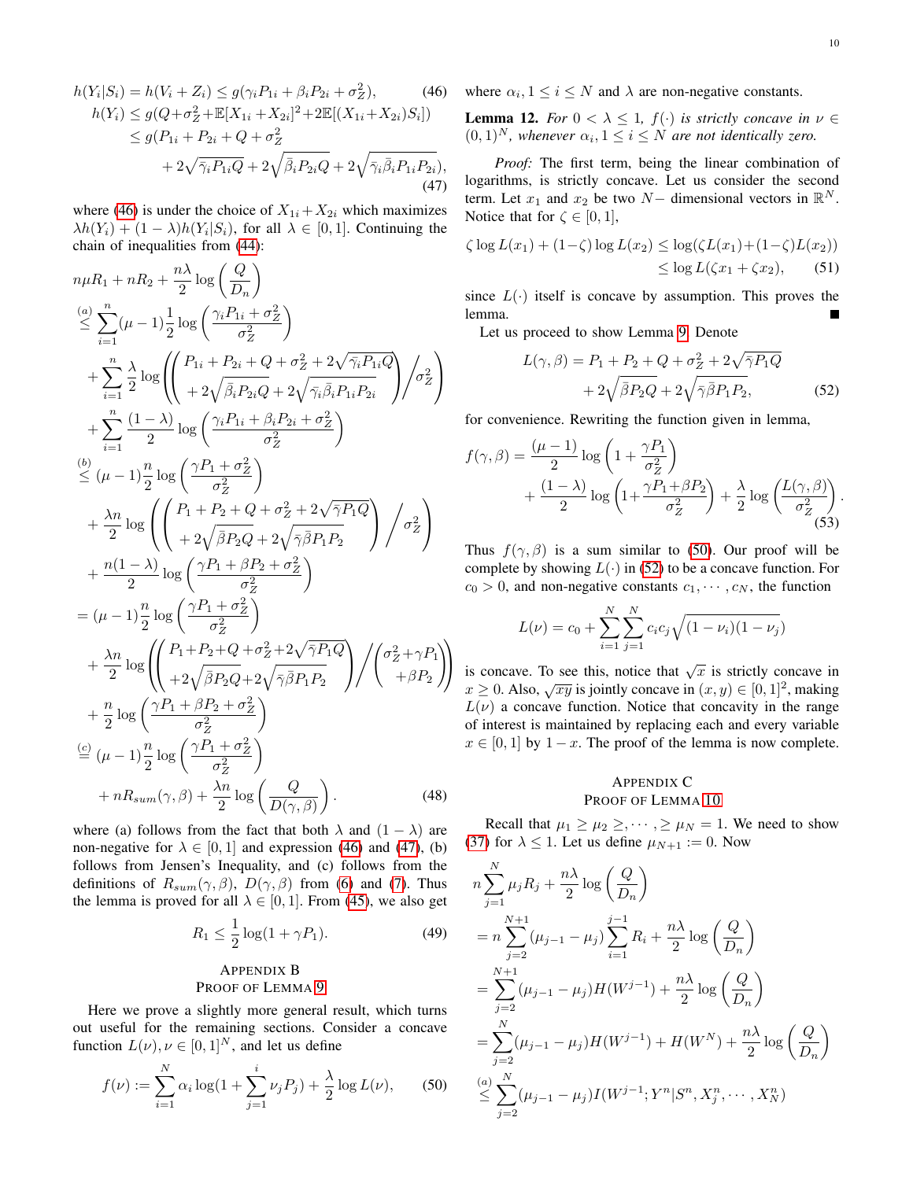$$
h(Y_i|S_i) = h(V_i + Z_i) \le g(\gamma_i P_{1i} + \beta_i P_{2i} + \sigma_Z^2),
$$
\n
$$
h(Y_i) \le g(Q + \sigma_Z^2 + \mathbb{E}[X_{1i} + X_{2i}]^2 + 2\mathbb{E}[(X_{1i} + X_{2i})S_i])
$$
\n
$$
\le g(P_{1i} + P_{2i} + Q + \sigma_Z^2 + 2\sqrt{\bar{\gamma}_i P_{1i} Q} + 2\sqrt{\bar{\gamma}_i \bar{\beta}_i P_{2i} Q},
$$
\n
$$
+ 2\sqrt{\bar{\gamma}_i P_{1i} Q} + 2\sqrt{\bar{\beta}_i P_{2i} Q} + 2\sqrt{\bar{\gamma}_i \bar{\beta}_i P_{1i} P_{2i}},
$$
\n(47)

where [\(46\)](#page-9-4) is under the choice of  $X_{1i} + X_{2i}$  which maximizes  $\lambda h(Y_i) + (1 - \lambda)h(Y_i|S_i)$ , for all  $\lambda \in [0, 1]$ . Continuing the chain of inequalities from [\(44\)](#page-8-3):

$$
n\mu R_1 + nR_2 + \frac{n\lambda}{2} \log\left(\frac{Q}{D_n}\right)
$$
  
\n
$$
\leq \sum_{i=1}^n (\mu - 1) \frac{1}{2} \log\left(\frac{\gamma_i P_{1i} + \sigma_Z^2}{\sigma_Z^2}\right)
$$
  
\n
$$
+ \sum_{i=1}^n \frac{\lambda}{2} \log\left(\frac{P_{1i} + P_{2i} + Q + \sigma_Z^2 + 2\sqrt{\gamma_i P_{1i}Q}}{1 + 2\sqrt{\beta_i P_{2i}Q} + 2\sqrt{\gamma_i \beta_i P_{1i}P_{2i}}}\right) / \sigma_Z^2\right)
$$
  
\n
$$
+ \sum_{i=1}^n \frac{(1 - \lambda)}{2} \log\left(\frac{\gamma_i P_{1i} + \beta_i P_{2i} + \sigma_Z^2}{\sigma_Z^2}\right)
$$
  
\n
$$
\leq (\mu - 1) \frac{n}{2} \log\left(\frac{\gamma P_1 + \sigma_Z^2}{\sigma_Z^2}\right)
$$
  
\n
$$
+ \frac{\lambda n}{2} \log\left(\frac{P_1 + P_2 + Q + \sigma_Z^2 + 2\sqrt{\gamma P_1 Q}}{1 + 2\sqrt{\beta P_2 Q} + 2\sqrt{\gamma \beta P_1 P_2}}\right) / \sigma_Z^2\right)
$$
  
\n
$$
+ \frac{n(1 - \lambda)}{2} \log\left(\frac{\gamma P_1 + \beta P_2 + \sigma_Z^2}{\sigma_Z^2}\right)
$$
  
\n
$$
= (\mu - 1) \frac{n}{2} \log\left(\frac{\gamma P_1 + \beta P_2 + \sigma_Z^2}{\sigma_Z^2}\right)
$$
  
\n
$$
+ \frac{\lambda n}{2} \log\left(\frac{P_1 + P_2 + Q + \sigma_Z^2 + 2\sqrt{\gamma P_1 Q}}{1 + 2\sqrt{\beta P_2 Q} + 2\sqrt{\gamma \beta P_1 P_2}}\right) / \left(\frac{\sigma_Z^2 + \gamma P_1}{1 + \beta P_2}\right)
$$
  
\n
$$
+ \frac{n}{2} \log\left(\frac{\gamma P_1 + \beta P_2 + \sigma_Z^2}{\sigma_Z^2}\right)
$$
  
\n
$$
\leq (\mu - 1) \frac{n}{2} \log\left(\frac{\gamma P_1 + \sigma_Z^2}{\sigma_Z^2}\
$$

where (a) follows from the fact that both  $\lambda$  and  $(1 - \lambda)$  are non-negative for  $\lambda \in [0, 1]$  and expression [\(46\)](#page-9-4) and [\(47\)](#page-9-5), (b) follows from Jensen's Inequality, and (c) follows from the definitions of  $R_{sum}(\gamma, \beta)$ ,  $D(\gamma, \beta)$  from [\(6\)](#page-2-6) and [\(7\)](#page-2-4). Thus the lemma is proved for all  $\lambda \in [0, 1]$ . From [\(45\)](#page-8-4), we also get

$$
R_1 \le \frac{1}{2}\log(1+\gamma P_1). \tag{49}
$$

# <span id="page-9-1"></span>APPENDIX B PROOF OF LEMMA [9](#page-6-3)

Here we prove a slightly more general result, which turns out useful for the remaining sections. Consider a concave function  $L(\nu), \nu \in [0,1]^N$ , and let us define

$$
f(\nu) := \sum_{i=1}^{N} \alpha_i \log(1 + \sum_{j=1}^{i} \nu_j P_j) + \frac{\lambda}{2} \log L(\nu), \quad (50)
$$

<span id="page-9-4"></span>where  $\alpha_i, 1 \leq i \leq N$  and  $\lambda$  are non-negative constants.

<span id="page-9-3"></span>**Lemma 12.** *For*  $0 < \lambda \leq 1$ ,  $f(\cdot)$  *is strictly concave in*  $\nu \in$  $(0,1)^N$ , whenever  $\alpha_i, 1 \leq i \leq N$  are not identically zero.

<span id="page-9-5"></span>*Proof:* The first term, being the linear combination of logarithms, is strictly concave. Let us consider the second term. Let  $x_1$  and  $x_2$  be two  $N-$  dimensional vectors in  $\mathbb{R}^N$ . Notice that for  $\zeta \in [0, 1]$ ,

$$
\zeta \log L(x_1) + (1 - \zeta) \log L(x_2) \le \log(\zeta L(x_1) + (1 - \zeta)L(x_2))
$$
  

$$
\le \log L(\zeta x_1 + \zeta x_2), \qquad (51)
$$

since  $L(\cdot)$  itself is concave by assumption. This proves the lemma.

Let us proceed to show Lemma [9.](#page-6-3) Denote

<span id="page-9-7"></span>
$$
L(\gamma, \beta) = P_1 + P_2 + Q + \sigma_Z^2 + 2\sqrt{\overline{\gamma}P_1Q} + 2\sqrt{\overline{\beta}P_2Q} + 2\sqrt{\overline{\gamma}\overline{\beta}P_1P_2},
$$
 (52)

for convenience. Rewriting the function given in lemma,

$$
f(\gamma, \beta) = \frac{(\mu - 1)}{2} \log \left( 1 + \frac{\gamma P_1}{\sigma_Z^2} \right)
$$
  
+ 
$$
\frac{(1 - \lambda)}{2} \log \left( 1 + \frac{\gamma P_1 + \beta P_2}{\sigma_Z^2} \right) + \frac{\lambda}{2} \log \left( \frac{L(\gamma, \beta)}{\sigma_Z^2} \right).
$$
(53)

Thus  $f(\gamma, \beta)$  is a sum similar to [\(50\)](#page-9-6). Our proof will be complete by showing  $L(\cdot)$  in [\(52\)](#page-9-7) to be a concave function. For  $c_0 > 0$ , and non-negative constants  $c_1, \dots, c_N$ , the function

$$
L(\nu) = c_0 + \sum_{i=1}^{N} \sum_{j=1}^{N} c_i c_j \sqrt{(1 - \nu_i)(1 - \nu_j)}
$$

is concave. To see this, notice that  $\sqrt{x}$  is strictly concave in s concave. To see ans, notice that  $\sqrt{x}$  is strictly concave in  $x \ge 0$ . Also,  $\sqrt{xy}$  is jointly concave in  $(x, y) \in [0, 1]^2$ , making  $L(\nu)$  a concave function. Notice that concavity in the range of interest is maintained by replacing each and every variable  $x \in [0, 1]$  by  $1 - x$ . The proof of the lemma is now complete.

# <span id="page-9-2"></span>APPENDIX C PROOF OF LEMMA [10](#page-7-0)

Recall that  $\mu_1 \geq \mu_2 \geq \cdots$ ,  $\geq \mu_N = 1$ . We need to show [\(37\)](#page-7-3) for  $\lambda \leq 1$ . Let us define  $\mu_{N+1} := 0$ . Now

<span id="page-9-6"></span><span id="page-9-0"></span>
$$
n\sum_{j=1}^{N} \mu_{j} R_{j} + \frac{n\lambda}{2} \log\left(\frac{Q}{D_{n}}\right)
$$
  
=  $n \sum_{j=2}^{N+1} (\mu_{j-1} - \mu_{j}) \sum_{i=1}^{j-1} R_{i} + \frac{n\lambda}{2} \log\left(\frac{Q}{D_{n}}\right)$   
=  $\sum_{j=2}^{N+1} (\mu_{j-1} - \mu_{j}) H(W^{j-1}) + \frac{n\lambda}{2} \log\left(\frac{Q}{D_{n}}\right)$   
=  $\sum_{j=2}^{N} (\mu_{j-1} - \mu_{j}) H(W^{j-1}) + H(W^{N}) + \frac{n\lambda}{2} \log\left(\frac{Q}{D_{n}}\right)$   
 $\leq \sum_{j=2}^{N} (\mu_{j-1} - \mu_{j}) I(W^{j-1}; Y^{n} | S^{n}, X_{j}^{n}, \dots, X_{N}^{n})$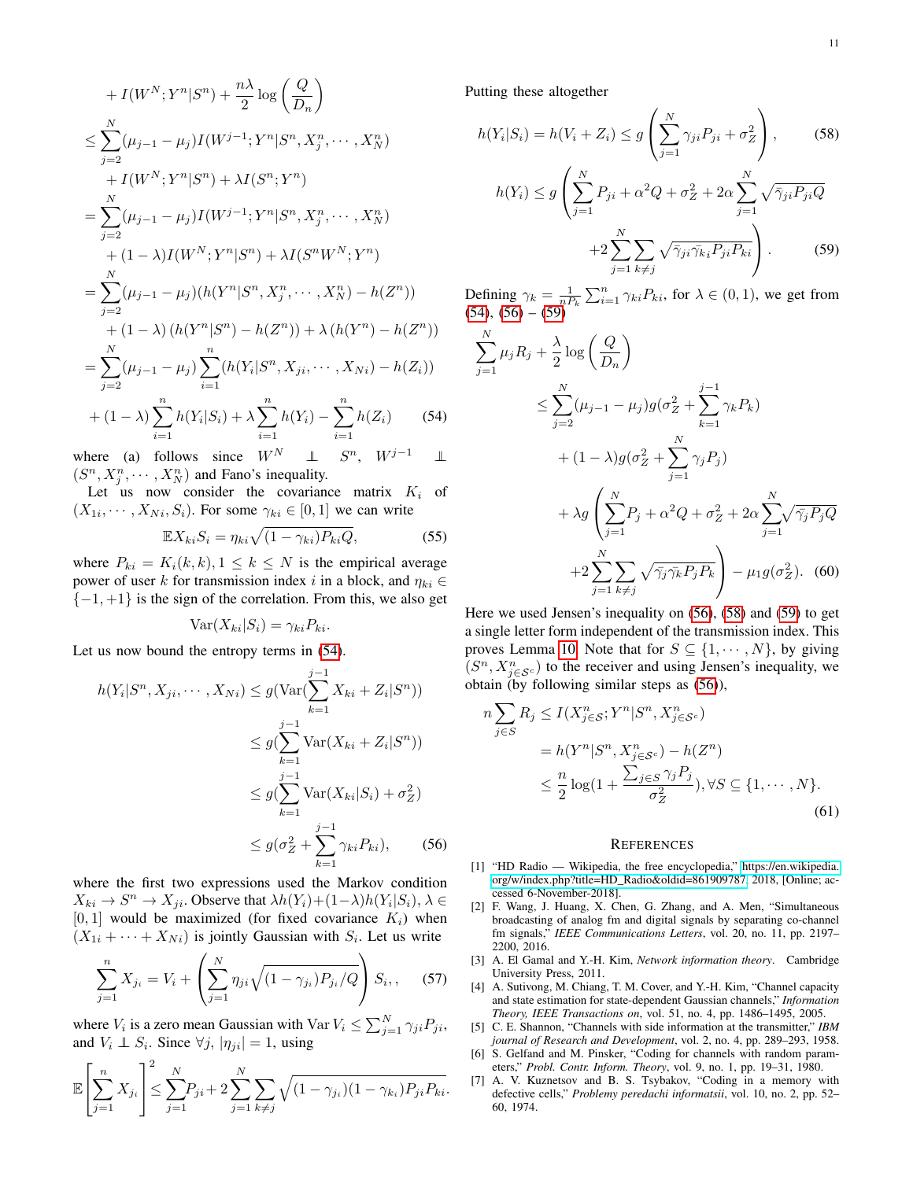+ 
$$
I(W^N; Y^n | S^n) + \frac{n\lambda}{2} \log \left(\frac{Q}{D_n}\right)
$$
  
\n $\leq \sum_{j=2}^N (\mu_{j-1} - \mu_j) I(W^{j-1}; Y^n | S^n, X_j^n, \dots, X_N^n)$   
\n+  $I(W^N; Y^n | S^n) + \lambda I(S^n; Y^n)$   
\n=  $\sum_{j=2}^N (\mu_{j-1} - \mu_j) I(W^{j-1}; Y^n | S^n, X_j^n, \dots, X_N^n)$   
\n+  $(1 - \lambda) I(W^N; Y^n | S^n) + \lambda I(S^n W^N; Y^n)$   
\n=  $\sum_{j=2}^N (\mu_{j-1} - \mu_j) (h(Y^n | S^n, X_j^n, \dots, X_N^n) - h(Z^n))$   
\n+  $(1 - \lambda) (h(Y^n | S^n) - h(Z^n)) + \lambda (h(Y^n) - h(Z^n))$   
\n=  $\sum_{j=2}^N (\mu_{j-1} - \mu_j) \sum_{i=1}^n (h(Y_i | S^n, X_{ji}, \dots, X_{Ni}) - h(Z_i))$   
\n+  $(1 - \lambda) \sum_{i=1}^n h(Y_i | S_i) + \lambda \sum_{i=1}^n h(Y_i) - \sum_{i=1}^n h(Z_i)$  (54)

where (a) follows since  $W^N$  ⊥  $S^n$ ,  $W^{j-1}$  ||  $(S^n, X_j^n, \dots, X_N^n)$  and Fano's inequality.

Let us now consider the covariance matrix  $K_i$  of  $(X_{1i}, \dots, X_{Ni}, S_i)$ . For some  $\gamma_{ki} \in [0, 1]$  we can write

$$
\mathbb{E}X_{ki}S_i = \eta_{ki}\sqrt{(1-\gamma_{ki})P_{ki}Q},\tag{55}
$$

where  $P_{ki} = K_i(k, k), 1 \leq k \leq N$  is the empirical average power of user k for transmission index i in a block, and  $\eta_{ki} \in$  ${-1, +1}$  is the sign of the correlation. From this, we also get

$$
Var(X_{ki}|S_i) = \gamma_{ki} P_{ki}.
$$

Let us now bound the entropy terms in [\(54\)](#page-10-8).

$$
h(Y_i|S^n, X_{ji}, \cdots, X_{Ni}) \le g(\text{Var}(\sum_{k=1}^{j-1} X_{ki} + Z_i|S^n))
$$
  
\n
$$
\le g(\sum_{k=1}^{j-1} \text{Var}(X_{ki} + Z_i|S^n))
$$
  
\n
$$
\le g(\sum_{k=1}^{j-1} \text{Var}(X_{ki}|S_i) + \sigma_Z^2)
$$
  
\n
$$
\le g(\sigma_Z^2 + \sum_{k=1}^{j-1} \gamma_{ki} P_{ki}), \qquad (56)
$$

where the first two expressions used the Markov condition  $X_{ki} \to S^n \to X_{ji}$ . Observe that  $\lambda h(Y_i) + (1 - \lambda)h(Y_i|S_i)$ ,  $\lambda \in$  $[0, 1]$  would be maximized (for fixed covariance  $K_i$ ) when  $(X_{1i} + \cdots + X_{Ni})$  is jointly Gaussian with  $S_i$ . Let us write

$$
\sum_{j=1}^{n} X_{j_i} = V_i + \left(\sum_{j=1}^{N} \eta_{ji} \sqrt{(1 - \gamma_{j_i}) P_{j_i} / Q}\right) S_i, \quad (57)
$$

where  $V_i$  is a zero mean Gaussian with  $Var V_i \le \sum_{j=1}^{N} \gamma_{ji} P_{ji}$ , and  $V_i \perp \!\!\!\! \perp S_i$ . Since  $\forall j, |\eta_{ji}| = 1$ , using

$$
\mathbb{E}\left[\sum_{j=1}^{n} X_{j_i}\right]^2 \le \sum_{j=1}^{N} P_{ji} + 2\sum_{j=1}^{N} \sum_{k \ne j} \sqrt{(1-\gamma_{j_i})(1-\gamma_{k_i})P_{ji}P_{ki}}.
$$

Putting these altogether

<span id="page-10-11"></span>
$$
h(Y_i|S_i) = h(V_i + Z_i) \le g\left(\sum_{j=1}^N \gamma_{ji} P_{ji} + \sigma_Z^2\right),\qquad(58)
$$

$$
h(Y_i) \le g\left(\sum_{j=1}^N P_{ji} + \alpha^2 Q + \sigma_Z^2 + 2\alpha \sum_{j=1}^N \sqrt{\bar{\gamma}_{ji} P_{ji} Q} + 2\sum_{j=1}^N \sum_{k \ne j} \sqrt{\bar{\gamma}_{ji} \bar{\gamma}_{ki} P_{ji} P_{ki}}\right).
$$
 (59)

Defining  $\gamma_k = \frac{1}{n P_k} \sum_{i=1}^n \gamma_{ki} P_{ki}$ , for  $\lambda \in (0, 1)$ , we get from  $(54)$ ,  $(56) - (59)$  $(56) - (59)$  $(56) - (59)$ 

<span id="page-10-10"></span><span id="page-10-8"></span>
$$
\sum_{j=1}^{N} \mu_j R_j + \frac{\lambda}{2} \log \left( \frac{Q}{D_n} \right)
$$
\n
$$
\leq \sum_{j=2}^{N} (\mu_{j-1} - \mu_j) g(\sigma_Z^2 + \sum_{k=1}^{j-1} \gamma_k P_k)
$$
\n
$$
+ (1 - \lambda) g(\sigma_Z^2 + \sum_{j=1}^{N} \gamma_j P_j)
$$
\n
$$
+ \lambda g \left( \sum_{j=1}^{N} P_j + \alpha^2 Q + \sigma_Z^2 + 2\alpha \sum_{j=1}^{N} \sqrt{\gamma_j P_j Q} + 2\sum_{j=1}^{N} \sum_{k \neq j} \sqrt{\gamma_j \gamma_k P_j P_k} \right) - \mu_1 g(\sigma_Z^2). \tag{60}
$$

Here we used Jensen's inequality on [\(56\)](#page-10-9), [\(58\)](#page-10-11) and [\(59\)](#page-10-10) to get a single letter form independent of the transmission index. This proves Lemma [10.](#page-7-0) Note that for  $S \subseteq \{1, \dots, N\}$ , by giving  $(S^n, X_{j \in S^c}^n)$  to the receiver and using Jensen's inequality, we obtain (by following similar steps as [\(56\)](#page-10-9)),

$$
n\sum_{j\in S} R_j \le I(X_{j\in S}^n; Y^n | S^n, X_{j\in S^c}^n)
$$
  
=  $h(Y^n | S^n, X_{j\in S^c}^n) - h(Z^n)$   

$$
\le \frac{n}{2} \log\left(1 + \frac{\sum_{j\in S} \gamma_j P_j}{\sigma_Z^2}\right), \forall S \subseteq \{1, \cdots, N\}.
$$
  
(61)

#### <span id="page-10-7"></span>**REFERENCES**

- <span id="page-10-9"></span><span id="page-10-0"></span>[1] "HD Radio — Wikipedia, the free encyclopedia," [https://en.wikipedia.](https://en.wikipedia.org/w/index.php?title=HD_Radio&oldid=861909787) [org/w/index.php?title=HD\\_Radio&oldid=861909787,](https://en.wikipedia.org/w/index.php?title=HD_Radio&oldid=861909787) 2018, [Online; accessed 6-November-2018].
- <span id="page-10-1"></span>[2] F. Wang, J. Huang, X. Chen, G. Zhang, and A. Men, "Simultaneous broadcasting of analog fm and digital signals by separating co-channel fm signals," *IEEE Communications Letters*, vol. 20, no. 11, pp. 2197– 2200, 2016.
- <span id="page-10-2"></span>[3] A. El Gamal and Y.-H. Kim, *Network information theory*. Cambridge University Press, 2011.
- <span id="page-10-3"></span>[4] A. Sutivong, M. Chiang, T. M. Cover, and Y.-H. Kim, "Channel capacity and state estimation for state-dependent Gaussian channels," *Information Theory, IEEE Transactions on*, vol. 51, no. 4, pp. 1486–1495, 2005.
- <span id="page-10-4"></span>[5] C. E. Shannon, "Channels with side information at the transmitter," *IBM journal of Research and Development*, vol. 2, no. 4, pp. 289–293, 1958.
- <span id="page-10-5"></span>[6] S. Gelfand and M. Pinsker, "Coding for channels with random parameters," *Probl. Contr. Inform. Theory*, vol. 9, no. 1, pp. 19–31, 1980.
- <span id="page-10-6"></span>[7] A. V. Kuznetsov and B. S. Tsybakov, "Coding in a memory with defective cells," *Problemy peredachi informatsii*, vol. 10, no. 2, pp. 52– 60, 1974.